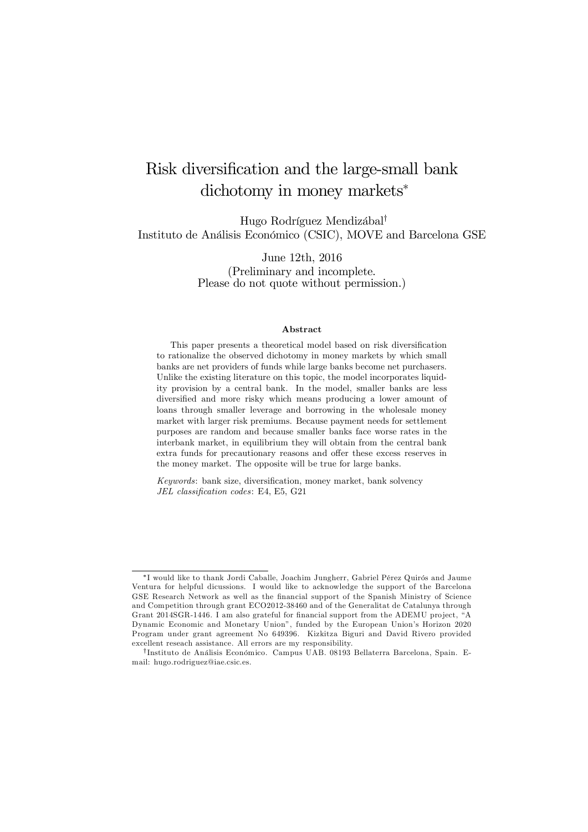# Risk diversification and the large-small bank  $\text{dichotomy in money markets}^*$

Hugo Rodríguez Mendizábal<sup>†</sup> Instituto de Análisis Económico (CSIC), MOVE and Barcelona GSE

> June 12th, 2016 (Preliminary and incomplete. Please do not quote without permission.)

#### Abstract

This paper presents a theoretical model based on risk diversification to rationalize the observed dichotomy in money markets by which small banks are net providers of funds while large banks become net purchasers. Unlike the existing literature on this topic, the model incorporates liquidity provision by a central bank. In the model, smaller banks are less diversified and more risky which means producing a lower amount of loans through smaller leverage and borrowing in the wholesale money market with larger risk premiums. Because payment needs for settlement purposes are random and because smaller banks face worse rates in the interbank market, in equilibrium they will obtain from the central bank extra funds for precautionary reasons and offer these excess reserves in the money market. The opposite will be true for large banks.

*Keywords*: bank size, diversification, money market, bank solvency *JEL classification codes*: E4, E5, G21

<sup>¤</sup>I would like to thank Jordi Caballe, Joachim Jungherr, Gabriel Pérez Quirós and Jaume Ventura for helpful dicussions. I would like to acknowledge the support of the Barcelona GSE Research Network as well as the financial support of the Spanish Ministry of Science and Competition through grant ECO2012-38460 and of the Generalitat de Catalunya through Grant 2014SGR-1446. I am also grateful for financial support from the ADEMU project, "A Dynamic Economic and Monetary Union", funded by the European Union's Horizon 2020 Program under grant agreement No 649396. Kizkitza Biguri and David Rivero provided excellent reseach assistance. All errors are my responsibility.

<sup>&</sup>lt;sup>†</sup>Instituto de Análisis Económico. Campus UAB. 08193 Bellaterra Barcelona, Spain. Email: hugo.rodriguez@iae.csic.es.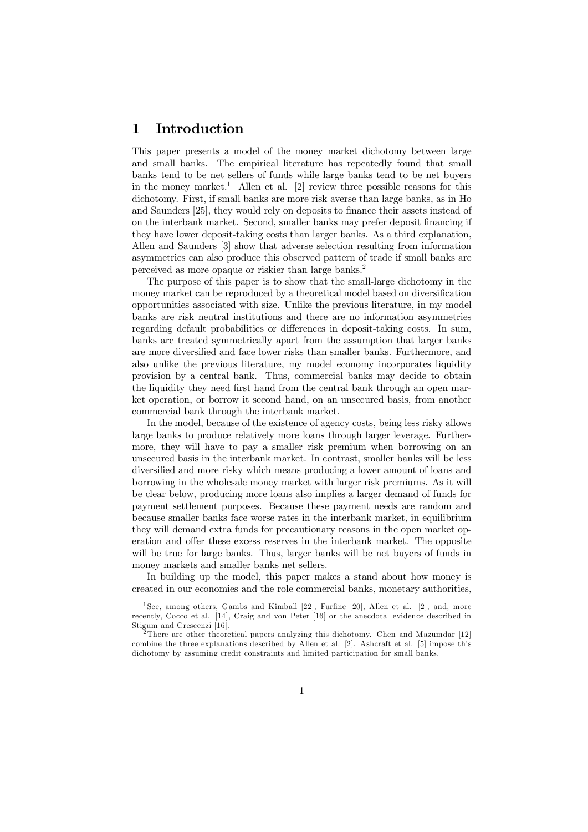## 1 Introduction

This paper presents a model of the money market dichotomy between large and small banks. The empirical literature has repeatedly found that small banks tend to be net sellers of funds while large banks tend to be net buyers in the money market. <sup>1</sup> Allen et al. [2] review three possible reasons for this dichotomy. First, if small banks are more risk averse than large banks, as in Ho and Saunders [25], they would rely on deposits to finance their assets instead of on the interbank market. Second, smaller banks may prefer deposit financing if they have lower deposit-taking costs than larger banks. As a third explanation, Allen and Saunders [3] show that adverse selection resulting from information asymmetries can also produce this observed pattern of trade if small banks are perceived as more opaque or riskier than large banks. 2

The purpose of this paper is to show that the small-large dichotomy in the money market can be reproduced by a theoretical model based on diversification opportunities associated with size. Unlike the previous literature, in my model banks are risk neutral institutions and there are no information asymmetries regarding default probabilities or differences in deposit-taking costs. In sum, banks are treated symmetrically apart from the assumption that larger banks are more diversified and face lower risks than smaller banks. Furthermore, and also unlike the previous literature, my model economy incorporates liquidity provision by a central bank. Thus, commercial banks may decide to obtain the liquidity they need first hand from the central bank through an open market operation, or borrow it second hand, on an unsecured basis, from another commercial bank through the interbank market.

In the model, because of the existence of agency costs, being less risky allows large banks to produce relatively more loans through larger leverage. Furthermore, they will have to pay a smaller risk premium when borrowing on an unsecured basis in the interbank market. In contrast, smaller banks will be less diversified and more risky which means producing a lower amount of loans and borrowing in the wholesale money market with larger risk premiums. As it will be clear below, producing more loans also implies a larger demand of funds for payment settlement purposes. Because these payment needs are random and because smaller banks face worse rates in the interbank market, in equilibrium they will demand extra funds for precautionary reasons in the open market operation and offer these excess reserves in the interbank market. The opposite will be true for large banks. Thus, larger banks will be net buyers of funds in money markets and smaller banks net sellers.

In building up the model, this paper makes a stand about how money is created in our economies and the role commercial banks, monetary authorities,

 $1$ See, among others, Gambs and Kimball [22], Furfine [20], Allen et al. [2], and, more recently, Cocco et al. [14], Craig and von Peter [16] or the anecdotal evidence described in Stigum and Crescenzi [16].

<sup>2</sup>There are other theoretical papers analyzing this dichotomy. Chen and Mazumdar [12] combine the three explanations described by Allen et al. [2]. Ashcraft et al. [5] impose this dichotomy by assuming credit constraints and limited participation for small banks.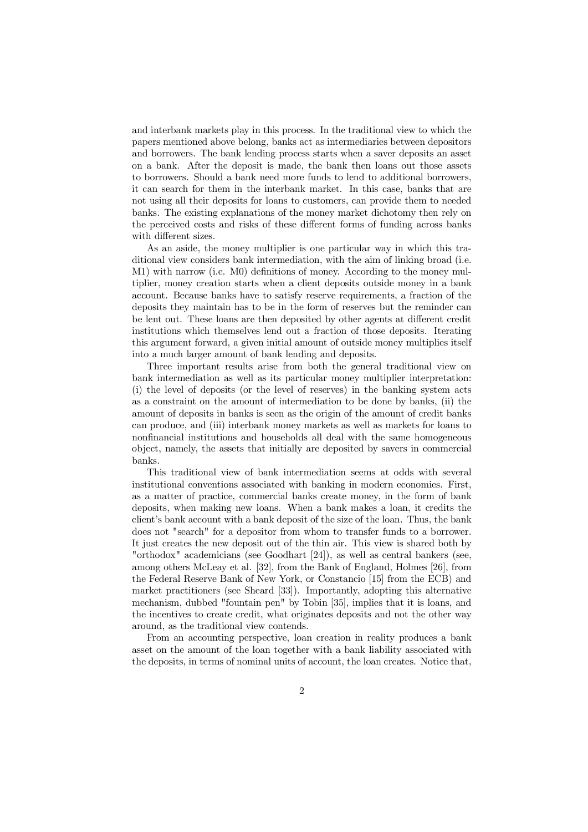and interbank markets play in this process. In the traditional view to which the papers mentioned above belong, banks act as intermediaries between depositors and borrowers. The bank lending process starts when a saver deposits an asset on a bank. After the deposit is made, the bank then loans out those assets to borrowers. Should a bank need more funds to lend to additional borrowers, it can search for them in the interbank market. In this case, banks that are not using all their deposits for loans to customers, can provide them to needed banks. The existing explanations of the money market dichotomy then rely on the perceived costs and risks of these different forms of funding across banks with different sizes.

As an aside, the money multiplier is one particular way in which this traditional view considers bank intermediation, with the aim of linking broad (i.e.  $M1$ ) with narrow (i.e.  $M0$ ) definitions of money. According to the money multiplier, money creation starts when a client deposits outside money in a bank account. Because banks have to satisfy reserve requirements, a fraction of the deposits they maintain has to be in the form of reserves but the reminder can be lent out. These loans are then deposited by other agents at different credit institutions which themselves lend out a fraction of those deposits. Iterating this argument forward, a given initial amount of outside money multiplies itself into a much larger amount of bank lending and deposits.

Three important results arise from both the general traditional view on bank intermediation as well as its particular money multiplier interpretation: (i) the level of deposits (or the level of reserves) in the banking system acts as a constraint on the amount of intermediation to be done by banks, (ii) the amount of deposits in banks is seen as the origin of the amount of credit banks can produce, and (iii) interbank money markets as well as markets for loans to nonfinancial institutions and households all deal with the same homogeneous object, namely, the assets that initially are deposited by savers in commercial banks.

This traditional view of bank intermediation seems at odds with several institutional conventions associated with banking in modern economies. First, as a matter of practice, commercial banks create money, in the form of bank deposits, when making new loans. When a bank makes a loan, it credits the client's bank account with a bank deposit of the size of the loan. Thus, the bank does not "search" for a depositor from whom to transfer funds to a borrower. It just creates the new deposit out of the thin air. This view is shared both by "orthodox" academicians (see Goodhart [24]), as well as central bankers (see, among others McLeay et al. [32], from the Bank of England, Holmes [26], from the Federal Reserve Bank of New York, or Constancio [15] from the ECB) and market practitioners (see Sheard [33]). Importantly, adopting this alternative mechanism, dubbed "fountain pen" by Tobin [35], implies that it is loans, and the incentives to create credit, what originates deposits and not the other way around, as the traditional view contends.

From an accounting perspective, loan creation in reality produces a bank asset on the amount of the loan together with a bank liability associated with the deposits, in terms of nominal units of account, the loan creates. Notice that,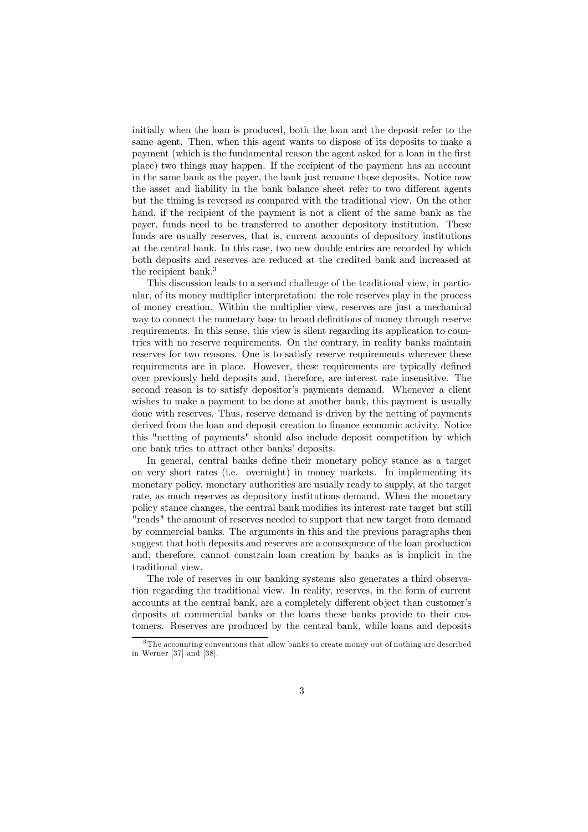initially when the loan is produced, both the loan and the deposit refer to the same agent. Then, when this agent wants to dispose of its deposits to make a payment (which is the fundamental reason the agent asked for a loan in the first place) two things may happen. If the recipient of the payment has an account in the same bank as the payer, the bank just rename those deposits. Notice now the asset and liability in the bank balance sheet refer to two different agents but the timing is reversed as compared with the traditional view. On the other hand, if the recipient of the payment is not a client of the same bank as the payer, funds need to be transferred to another depository institution. These funds are usually reserves, that is, current accounts of depository institutions at the central bank. In this case, two new double entries are recorded by which both deposits and reserves are reduced at the credited bank and increased at the recipient bank. 3

This discussion leads to a second challenge of the traditional view, in particular, of its money multiplier interpretation: the role reserves play in the process of money creation. Within the multiplier view, reserves are just a mechanical way to connect the monetary base to broad definitions of money through reserve requirements. In this sense, this view is silent regarding its application to countries with no reserve requirements. On the contrary, in reality banks maintain reserves for two reasons. One is to satisfy reserve requirements wherever these requirements are in place. However, these requirements are typically defined over previously held deposits and, therefore, are interest rate insensitive. The second reason is to satisfy depositor's payments demand. Whenever a client wishes to make a payment to be done at another bank, this payment is usually done with reserves. Thus, reserve demand is driven by the netting of payments derived from the loan and deposit creation to finance economic activity. Notice this "netting of payments" should also include deposit competition by which one bank tries to attract other banks' deposits.

In general, central banks define their monetary policy stance as a target on very short rates (i.e. overnight) in money markets. In implementing its monetary policy, monetary authorities are usually ready to supply, at the target rate, as much reserves as depository institutions demand. When the monetary policy stance changes, the central bank modifies its interest rate target but still "reads" the amount of reserves needed to support that new target from demand by commercial banks. The arguments in this and the previous paragraphs then suggest that both deposits and reserves are a consequence of the loan production and, therefore, cannot constrain loan creation by banks as is implicit in the traditional view.

The role of reserves in our banking systems also generates a third observation regarding the traditional view. In reality, reserves, in the form of current accounts at the central bank, are a completely different object than customer's deposits at commercial banks or the loans these banks provide to their customers. Reserves are produced by the central bank, while loans and deposits

 $3$ The accounting conventions that allow banks to create money out of nothing are described in Werner [37] and [38].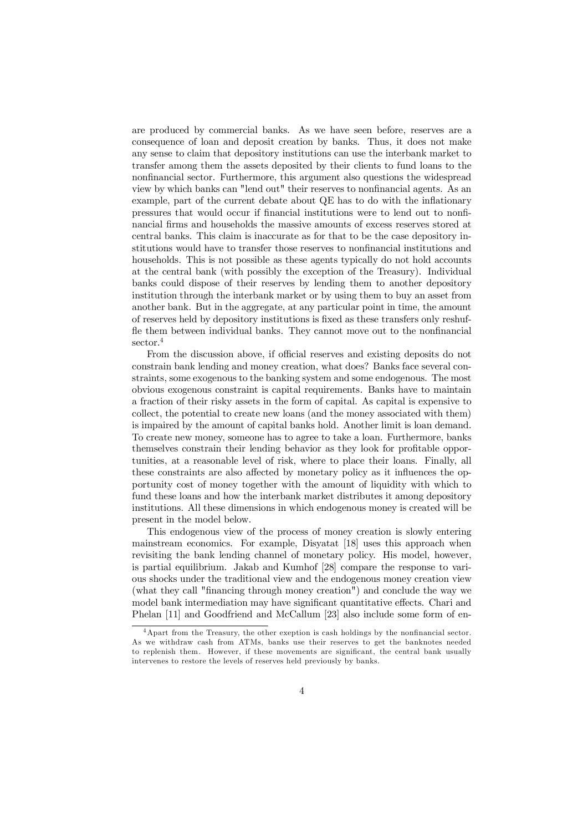are produced by commercial banks. As we have seen before, reserves are a consequence of loan and deposit creation by banks. Thus, it does not make any sense to claim that depository institutions can use the interbank market to transfer among them the assets deposited by their clients to fund loans to the nonfinancial sector. Furthermore, this argument also questions the widespread view by which banks can "lend out" their reserves to nonfinancial agents. As an example, part of the current debate about QE has to do with the inflationary pressures that would occur if financial institutions were to lend out to nonfinancial firms and households the massive amounts of excess reserves stored at central banks. This claim is inaccurate as for that to be the case depository institutions would have to transfer those reserves to nonfinancial institutions and households. This is not possible as these agents typically do not hold accounts at the central bank (with possibly the exception of the Treasury). Individual banks could dispose of their reserves by lending them to another depository institution through the interbank market or by using them to buy an asset from another bank. But in the aggregate, at any particular point in time, the amount of reserves held by depository institutions is fixed as these transfers only reshuffle them between individual banks. They cannot move out to the nonfinancial sector. 4

From the discussion above, if official reserves and existing deposits do not constrain bank lending and money creation, what does? Banks face several constraints, some exogenous to the banking system and some endogenous. The most obvious exogenous constraint is capital requirements. Banks have to maintain a fraction of their risky assets in the form of capital. As capital is expensive to collect, the potential to create new loans (and the money associated with them) is impaired by the amount of capital banks hold. Another limit is loan demand. To create new money, someone has to agree to take a loan. Furthermore, banks themselves constrain their lending behavior as they look for profitable opportunities, at a reasonable level of risk, where to place their loans. Finally, all these constraints are also affected by monetary policy as it influences the opportunity cost of money together with the amount of liquidity with which to fund these loans and how the interbank market distributes it among depository institutions. All these dimensions in which endogenous money is created will be present in the model below.

This endogenous view of the process of money creation is slowly entering mainstream economics. For example, Disyatat [18] uses this approach when revisiting the bank lending channel of monetary policy. His model, however, is partial equilibrium. Jakab and Kumhof [28] compare the response to various shocks under the traditional view and the endogenous money creation view (what they call "financing through money creation") and conclude the way we model bank intermediation may have significant quantitative effects. Chari and Phelan [11] and Goodfriend and McCallum [23] also include some form of en-

 $4$ Apart from the Treasury, the other exeption is cash holdings by the nonfinancial sector. As we withdraw cash from ATMs, banks use their reserves to get the banknotes needed to replenish them. However, if these movements are significant, the central bank usually intervenes to restore the levels of reserves held previously by banks.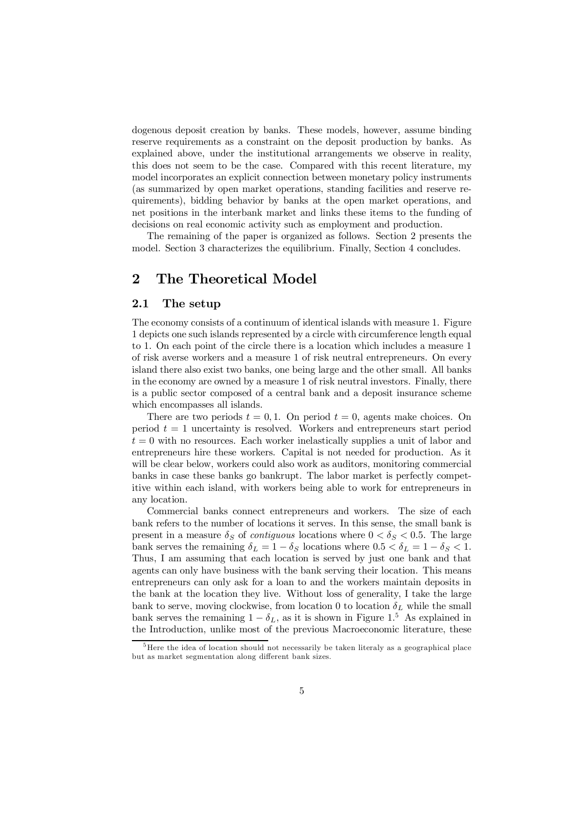dogenous deposit creation by banks. These models, however, assume binding reserve requirements as a constraint on the deposit production by banks. As explained above, under the institutional arrangements we observe in reality, this does not seem to be the case. Compared with this recent literature, my model incorporates an explicit connection between monetary policy instruments (as summarized by open market operations, standing facilities and reserve requirements), bidding behavior by banks at the open market operations, and net positions in the interbank market and links these items to the funding of decisions on real economic activity such as employment and production.

The remaining of the paper is organized as follows. Section 2 presents the model. Section 3 characterizes the equilibrium. Finally, Section 4 concludes.

## 2 The Theoretical Model

### 2.1 The setup

The economy consists of a continuum of identical islands with measure 1. Figure 1 depicts one such islands represented by a circle with circumference length equal to 1. On each point of the circle there is a location which includes a measure 1 of risk averse workers and a measure 1 of risk neutral entrepreneurs. On every island there also exist two banks, one being large and the other small. All banks in the economy are owned by a measure 1 of risk neutral investors. Finally, there is a public sector composed of a central bank and a deposit insurance scheme which encompasses all islands.

There are two periods  $t = 0, 1$ . On period  $t = 0$ , agents make choices. On period  $t = 1$  uncertainty is resolved. Workers and entrepreneurs start period  $t = 0$  with no resources. Each worker inelastically supplies a unit of labor and entrepreneurs hire these workers. Capital is not needed for production. As it will be clear below, workers could also work as auditors, monitoring commercial banks in case these banks go bankrupt. The labor market is perfectly competitive within each island, with workers being able to work for entrepreneurs in any location.

Commercial banks connect entrepreneurs and workers. The size of each bank refers to the number of locations it serves. In this sense, the small bank is present in a measure  $\delta_S$  of *contiguous* locations where  $0 < \delta_S < 0.5$ . The large bank serves the remaining  $\delta_L = 1 - \delta_S$  locations where  $0.5 < \delta_L = 1 - \delta_S < 1$ . Thus, I am assuming that each location is served by just one bank and that agents can only have business with the bank serving their location. This means entrepreneurs can only ask for a loan to and the workers maintain deposits in the bank at the location they live. Without loss of generality, I take the large bank to serve, moving clockwise, from location 0 to location  $\delta_L$  while the small bank serves the remaining  $1 - \delta_L$ , as it is shown in Figure 1.<sup>5</sup> As explained in the Introduction, unlike most of the previous Macroeconomic literature, these

 $\overline{5}$ Here the idea of location should not necessarily be taken literaly as a geographical place but as market segmentation along different bank sizes.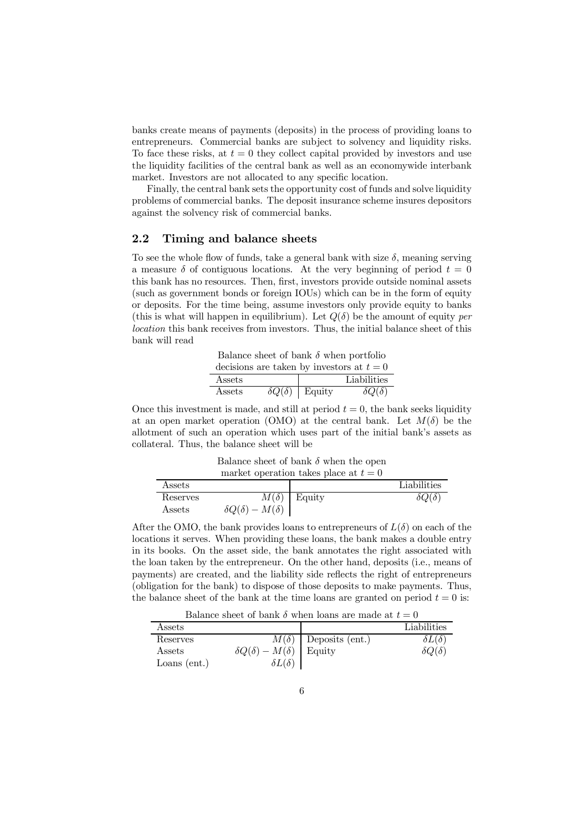banks create means of payments (deposits) in the process of providing loans to entrepreneurs. Commercial banks are subject to solvency and liquidity risks. To face these risks, at  $t = 0$  they collect capital provided by investors and use the liquidity facilities of the central bank as well as an economywide interbank market. Investors are not allocated to any specific location.

Finally, the central bank sets the opportunity cost of funds and solve liquidity problems of commercial banks. The deposit insurance scheme insures depositors against the solvency risk of commercial banks.

### 2.2 Timing and balance sheets

Assets  $\delta Q(\delta) - M(\delta)$ 

To see the whole flow of funds, take a general bank with size  $\delta$ , meaning serving a measure  $\delta$  of contiguous locations. At the very beginning of period  $t = 0$ this bank has no resources. Then, first, investors provide outside nominal assets (such as government bonds or foreign IOUs) which can be in the form of equity or deposits. For the time being, assume investors only provide equity to banks (this is what will happen in equilibrium). Let  $Q(\delta)$  be the amount of equity *per location* this bank receives from investors. Thus, the initial balance sheet of this bank will read

Balance sheet of bank  $\delta$  when portfolio decisions are taken by investors at  $t = 0$  $\begin{tabular}{c|c} \multicolumn{3}{c|}{Assets} & \multicolumn{3}{c}{\text{Liabilities}}\\ \hline \multicolumn{3}{c}{Assets} & \delta Q(\delta) & \text{Equity} & \delta Q(\delta) \\ \end{tabular}$ Assets  $\delta Q(\delta)$  Equity

Once this investment is made, and still at period  $t = 0$ , the bank seeks liquidity at an open market operation (OMO) at the central bank. Let  $M(\delta)$  be the allotment of such an operation which uses part of the initial bank's assets as collateral. Thus, the balance sheet will be

Balance sheet of bank  $\delta$  when the open market operation takes place at  $t = 0$ Assets Liabilities Reserves  $M(\delta)$  Equity  $\delta Q(\delta)$ 

After the OMO, the bank provides loans to entrepreneurs of  $L(\delta)$  on each of the locations it serves. When providing these loans, the bank makes a double entry in its books. On the asset side, the bank annotates the right associated with the loan taken by the entrepreneur. On the other hand, deposits (i.e., means of payments) are created, and the liability side reflects the right of entrepreneurs (obligation for the bank) to dispose of those deposits to make payments. Thus, the balance sheet of the bank at the time loans are granted on period  $t = 0$  is:

Balance sheet of bank  $\delta$  when loans are made at  $t = 0$ 

| Assets         |                                |                 | Liabilities        |  |  |
|----------------|--------------------------------|-----------------|--------------------|--|--|
| Reserves       | $M(\delta)$                    | Deposits (ent.) | $\delta L(\delta)$ |  |  |
| Assets         | $\delta Q(\delta) - M(\delta)$ | Equity          | $\delta Q(\delta)$ |  |  |
| Loans $(ent.)$ | $\delta L(\delta)$             |                 |                    |  |  |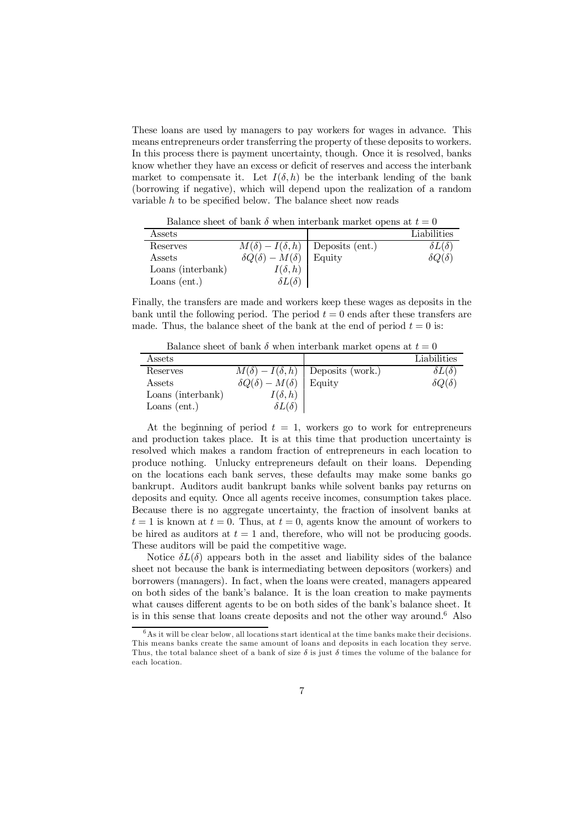These loans are used by managers to pay workers for wages in advance. This means entrepreneurs order transferring the property of these deposits to workers. In this process there is payment uncertainty, though. Once it is resolved, banks know whether they have an excess or deficit of reserves and access the interbank market to compensate it. Let  $I(\delta, h)$  be the interbank lending of the bank (borrowing if negative), which will depend upon the realization of a random variable  $h$  to be specified below. The balance sheet now reads

Balance sheet of bank  $\delta$  when interbank market opens at  $t = 0$ 

| Assets            |                                |                                            | Liabilities        |
|-------------------|--------------------------------|--------------------------------------------|--------------------|
| Reserves          |                                | $M(\delta) - I(\delta, h)$ Deposits (ent.) | $\delta L(\delta)$ |
| Assets            | $\delta Q(\delta) - M(\delta)$ | Equity                                     | $\delta Q(\delta)$ |
| Loans (interbank) | $I(\delta, h)$                 |                                            |                    |
| Loans $(ent.)$    | $\delta L(\delta)$             |                                            |                    |

Finally, the transfers are made and workers keep these wages as deposits in the bank until the following period. The period  $t = 0$  ends after these transfers are made. Thus, the balance sheet of the bank at the end of period  $t = 0$  is:

Balance sheet of bank  $\delta$  when interbank market opens at  $t = 0$ 

| Assets            |                                |                                             | Liabilities        |
|-------------------|--------------------------------|---------------------------------------------|--------------------|
| Reserves          |                                | $M(\delta) - I(\delta, h)$ Deposits (work.) | $\delta L(\delta)$ |
| Assets            | $\delta Q(\delta) - M(\delta)$ | Equity                                      | $\delta Q(\delta)$ |
| Loans (interbank) | $I(\delta, h)$                 |                                             |                    |
| Loans $(ent.)$    | $\delta L(\delta)$             |                                             |                    |

At the beginning of period  $t = 1$ , workers go to work for entrepreneurs and production takes place. It is at this time that production uncertainty is resolved which makes a random fraction of entrepreneurs in each location to produce nothing. Unlucky entrepreneurs default on their loans. Depending on the locations each bank serves, these defaults may make some banks go bankrupt. Auditors audit bankrupt banks while solvent banks pay returns on deposits and equity. Once all agents receive incomes, consumption takes place. Because there is no aggregate uncertainty, the fraction of insolvent banks at  $t = 1$  is known at  $t = 0$ . Thus, at  $t = 0$ , agents know the amount of workers to be hired as auditors at  $t = 1$  and, therefore, who will not be producing goods. These auditors will be paid the competitive wage.

Notice  $\delta L(\delta)$  appears both in the asset and liability sides of the balance sheet not because the bank is intermediating between depositors (workers) and borrowers (managers). In fact, when the loans were created, managers appeared on both sides of the bank's balance. It is the loan creation to make payments what causes different agents to be on both sides of the bank's balance sheet. It is in this sense that loans create deposits and not the other way around. <sup>6</sup> Also

 $6$ As it will be clear below, all locations start identical at the time banks make their decisions. This means banks create the same amount of loans and deposits in each location they serve. Thus, the total balance sheet of a bank of size  $\delta$  is just  $\delta$  times the volume of the balance for each location.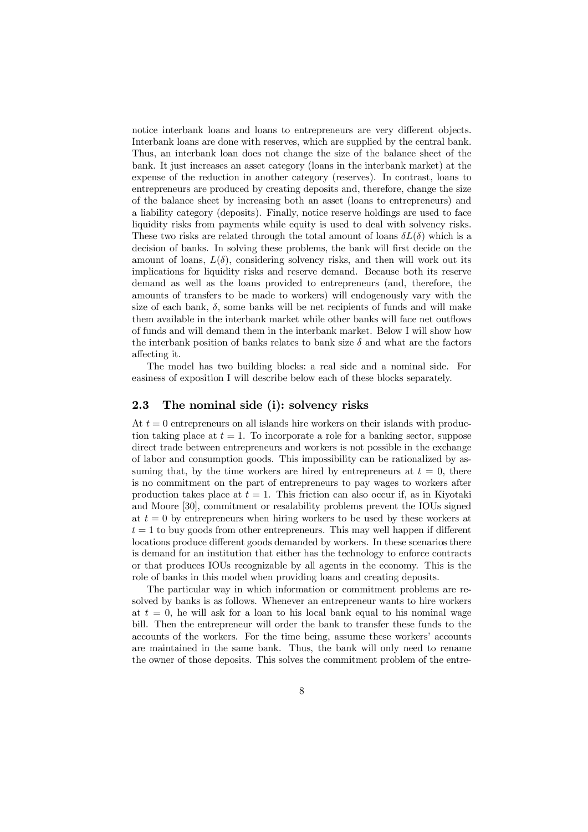notice interbank loans and loans to entrepreneurs are very different objects. Interbank loans are done with reserves, which are supplied by the central bank. Thus, an interbank loan does not change the size of the balance sheet of the bank. It just increases an asset category (loans in the interbank market) at the expense of the reduction in another category (reserves). In contrast, loans to entrepreneurs are produced by creating deposits and, therefore, change the size of the balance sheet by increasing both an asset (loans to entrepreneurs) and a liability category (deposits). Finally, notice reserve holdings are used to face liquidity risks from payments while equity is used to deal with solvency risks. These two risks are related through the total amount of loans  $\delta L(\delta)$  which is a decision of banks. In solving these problems, the bank will first decide on the amount of loans,  $L(\delta)$ , considering solvency risks, and then will work out its implications for liquidity risks and reserve demand. Because both its reserve demand as well as the loans provided to entrepreneurs (and, therefore, the amounts of transfers to be made to workers) will endogenously vary with the size of each bank,  $\delta$ , some banks will be net recipients of funds and will make them available in the interbank market while other banks will face net outflows of funds and will demand them in the interbank market. Below I will show how the interbank position of banks relates to bank size  $\delta$  and what are the factors affecting it.

The model has two building blocks: a real side and a nominal side. For easiness of exposition I will describe below each of these blocks separately.

### 2.3 The nominal side (i): solvency risks

At  $t = 0$  entrepreneurs on all islands hire workers on their islands with production taking place at  $t = 1$ . To incorporate a role for a banking sector, suppose direct trade between entrepreneurs and workers is not possible in the exchange of labor and consumption goods. This impossibility can be rationalized by assuming that, by the time workers are hired by entrepreneurs at  $t = 0$ , there is no commitment on the part of entrepreneurs to pay wages to workers after production takes place at  $t = 1$ . This friction can also occur if, as in Kiyotaki and Moore [30], commitment or resalability problems prevent the IOUs signed at  $t = 0$  by entrepreneurs when hiring workers to be used by these workers at  $t = 1$  to buy goods from other entrepreneurs. This may well happen if different locations produce different goods demanded by workers. In these scenarios there is demand for an institution that either has the technology to enforce contracts or that produces IOUs recognizable by all agents in the economy. This is the role of banks in this model when providing loans and creating deposits.

The particular way in which information or commitment problems are resolved by banks is as follows. Whenever an entrepreneur wants to hire workers at  $t = 0$ , he will ask for a loan to his local bank equal to his nominal wage bill. Then the entrepreneur will order the bank to transfer these funds to the accounts of the workers. For the time being, assume these workers' accounts are maintained in the same bank. Thus, the bank will only need to rename the owner of those deposits. This solves the commitment problem of the entre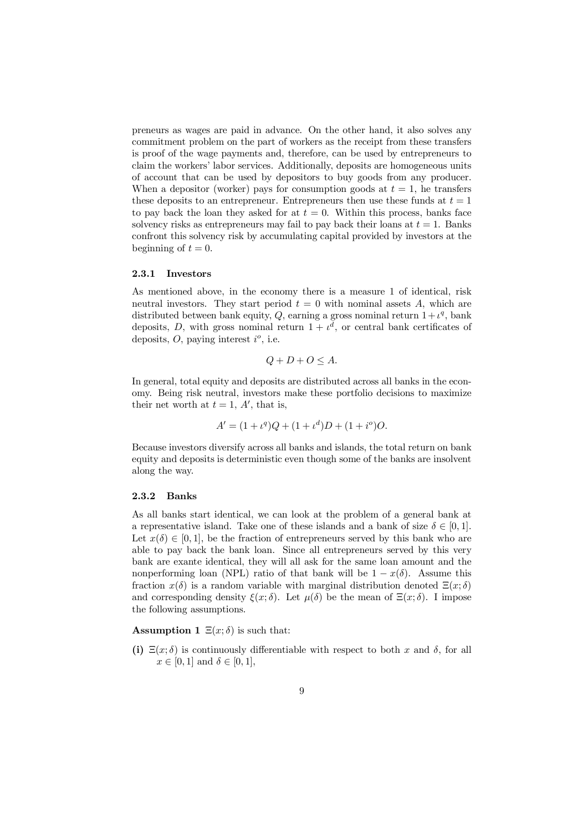preneurs as wages are paid in advance. On the other hand, it also solves any commitment problem on the part of workers as the receipt from these transfers is proof of the wage payments and, therefore, can be used by entrepreneurs to claim the workers' labor services. Additionally, deposits are homogeneous units of account that can be used by depositors to buy goods from any producer. When a depositor (worker) pays for consumption goods at  $t = 1$ , he transfers these deposits to an entrepreneur. Entrepreneurs then use these funds at  $t = 1$ to pay back the loan they asked for at  $t = 0$ . Within this process, banks face solvency risks as entrepreneurs may fail to pay back their loans at  $t = 1$ . Banks confront this solvency risk by accumulating capital provided by investors at the beginning of  $t = 0$ .

#### 2.3.1 Investors

As mentioned above, in the economy there is a measure 1 of identical, risk neutral investors. They start period  $t = 0$  with nominal assets A, which are distributed between bank equity, Q, earning a gross nominal return  $1+\ell^q$ , bank deposits, D, with gross nominal return  $1 + t^d$ , or central bank certificates of deposits,  $O$ , paying interest  $i^o$ , i.e.

$$
Q + D + O \le A.
$$

In general, total equity and deposits are distributed across all banks in the economy. Being risk neutral, investors make these portfolio decisions to maximize their net worth at  $t = 1, A'$ , that is,

$$
A' = (1 + \iota^{q})Q + (1 + \iota^{d})D + (1 + i^{o})O.
$$

Because investors diversify across all banks and islands, the total return on bank equity and deposits is deterministic even though some of the banks are insolvent along the way.

#### 2.3.2 Banks

As all banks start identical, we can look at the problem of a general bank at a representative island. Take one of these islands and a bank of size  $\delta \in [0, 1]$ . Let  $x(\delta) \in [0, 1]$ , be the fraction of entrepreneurs served by this bank who are able to pay back the bank loan. Since all entrepreneurs served by this very bank are exante identical, they will all ask for the same loan amount and the nonperforming loan (NPL) ratio of that bank will be  $1 - x(\delta)$ . Assume this fraction  $x(\delta)$  is a random variable with marginal distribution denoted  $\Xi(x; \delta)$ and corresponding density  $\xi(x; \delta)$ . Let  $\mu(\delta)$  be the mean of  $\Xi(x; \delta)$ . I impose the following assumptions.

### **Assumption 1**  $\Xi(x; \delta)$  is such that:

(i)  $\Xi(x;\delta)$  is continuously differentiable with respect to both x and  $\delta$ , for all  $x \in [0, 1]$  and  $\delta \in [0, 1]$ ,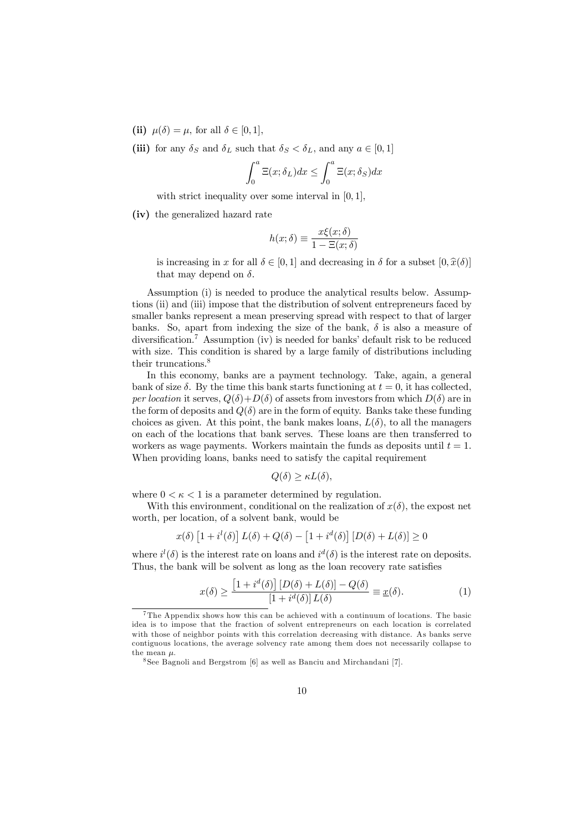- (ii)  $\mu(\delta) = \mu$ , for all  $\delta \in [0, 1]$ ,
- (iii) for any  $\delta_S$  and  $\delta_L$  such that  $\delta_S < \delta_L$ , and any  $a \in [0, 1]$

$$
\int_0^a \Xi(x;\delta_L)dx \le \int_0^a \Xi(x;\delta_S)dx
$$

with strict inequality over some interval in  $[0, 1]$ ,

(iv) the generalized hazard rate

$$
h(x; \delta) \equiv \frac{x\xi(x; \delta)}{1 - \Xi(x; \delta)}
$$

is increasing in x for all  $\delta \in [0, 1]$  and decreasing in  $\delta$  for a subset  $[0, \hat{x}(\delta)]$ that may depend on  $\delta$ .

Assumption (i) is needed to produce the analytical results below. Assumptions (ii) and (iii) impose that the distribution of solvent entrepreneurs faced by smaller banks represent a mean preserving spread with respect to that of larger banks. So, apart from indexing the size of the bank,  $\delta$  is also a measure of diversification.<sup>7</sup> Assumption (iv) is needed for banks' default risk to be reduced with size. This condition is shared by a large family of distributions including their truncations. 8

In this economy, banks are a payment technology. Take, again, a general bank of size  $\delta$ . By the time this bank starts functioning at  $t = 0$ , it has collected, *per location* it serves,  $Q(\delta)+D(\delta)$  of assets from investors from which  $D(\delta)$  are in the form of deposits and  $Q(\delta)$  are in the form of equity. Banks take these funding choices as given. At this point, the bank makes loans,  $L(\delta)$ , to all the managers on each of the locations that bank serves. These loans are then transferred to workers as wage payments. Workers maintain the funds as deposits until  $t = 1$ . When providing loans, banks need to satisfy the capital requirement

$$
Q(\delta) \ge \kappa L(\delta),
$$

where  $0 < \kappa < 1$  is a parameter determined by regulation.

With this environment, conditional on the realization of  $x(\delta)$ , the expost net worth, per location, of a solvent bank, would be

$$
x(\delta) \left[1 + i^l(\delta)\right] L(\delta) + Q(\delta) - \left[1 + i^d(\delta)\right] \left[D(\delta) + L(\delta)\right] \ge 0
$$

where  $i^{l}(\delta)$  is the interest rate on loans and  $i^{d}(\delta)$  is the interest rate on deposits. Thus, the bank will be solvent as long as the loan recovery rate satisfies

$$
x(\delta) \ge \frac{\left[1 + i^d(\delta)\right] \left[D(\delta) + L(\delta)\right] - Q(\delta)}{\left[1 + i^d(\delta)\right] L(\delta)} \equiv \underline{x}(\delta). \tag{1}
$$

<sup>7</sup>The Appendix shows how this can be achieved with a continuum of locations. The basic idea is to impose that the fraction of solvent entrepreneurs on each location is correlated with those of neighbor points with this correlation decreasing with distance. As banks serve contiguous locations, the average solvency rate among them does not necessarily collapse to the mean  $\mu$ .

<sup>8</sup>See Bagnoli and Bergstrom [6] as well as Banciu and Mirchandani [7].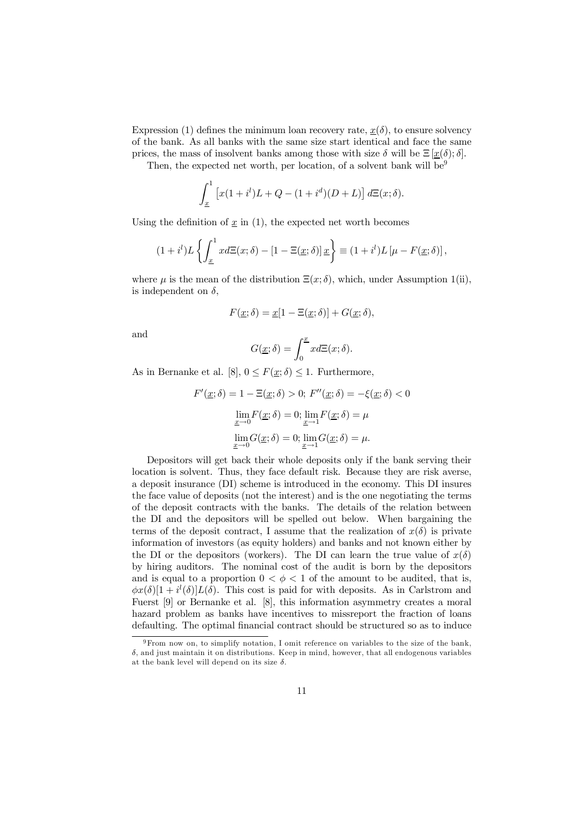Expression (1) defines the minimum loan recovery rate,  $\underline{x}(\delta)$ , to ensure solvency of the bank. As all banks with the same size start identical and face the same prices, the mass of insolvent banks among those with size  $\delta$  will be  $\Xi[\underline{x}(\delta);\delta].$ 

Then, the expected net worth, per location, of a solvent bank will be  $9$ 

$$
\int_{\underline{x}}^{1} \left[ x(1 + i^{l})L + Q - (1 + i^{d})(D + L) \right] d\Xi(x; \delta).
$$

Using the definition of  $\underline{x}$  in (1), the expected net worth becomes

$$
(1+i^l)L\left\{\int_{\underline{x}}^1 x d\Xi(x;\delta) - [1-\Xi(\underline{x};\delta)]\,\underline{x}\right\} \equiv (1+i^l)L\left[\mu - F(\underline{x};\delta)\right],
$$

where  $\mu$  is the mean of the distribution  $\Xi(x; \delta)$ , which, under Assumption 1(ii), is independent on  $\delta$ .

$$
F(\underline{x}; \delta) = \underline{x}[1 - \Xi(\underline{x}; \delta)] + G(\underline{x}; \delta),
$$

and

$$
G(\underline{x}; \delta) = \int_0^{\underline{x}} x d\Xi(x; \delta).
$$

As in Bernanke et al. [8],  $0 \leq F(\underline{x}; \delta) \leq 1$ . Furthermore,

$$
F'(\underline{x}; \delta) = 1 - \Xi(\underline{x}; \delta) > 0; F''(\underline{x}; \delta) = -\xi(\underline{x}; \delta) < 0
$$

$$
\lim_{\underline{x} \to 0} F(\underline{x}; \delta) = 0; \lim_{\underline{x} \to 1} F(\underline{x}; \delta) = \mu
$$

$$
\lim_{\underline{x} \to 0} G(\underline{x}; \delta) = 0; \lim_{\underline{x} \to 1} G(\underline{x}; \delta) = \mu.
$$

Depositors will get back their whole deposits only if the bank serving their location is solvent. Thus, they face default risk. Because they are risk averse, a deposit insurance (DI) scheme is introduced in the economy. This DI insures the face value of deposits (not the interest) and is the one negotiating the terms of the deposit contracts with the banks. The details of the relation between the DI and the depositors will be spelled out below. When bargaining the terms of the deposit contract, I assume that the realization of  $x(\delta)$  is private information of investors (as equity holders) and banks and not known either by the DI or the depositors (workers). The DI can learn the true value of  $x(\delta)$ by hiring auditors. The nominal cost of the audit is born by the depositors and is equal to a proportion  $0 < \phi < 1$  of the amount to be audited, that is,  $\phi x(\delta)[1 + i^{l}(\delta)]L(\delta)$ . This cost is paid for with deposits. As in Carlstrom and Fuerst [9] or Bernanke et al. [8], this information asymmetry creates a moral hazard problem as banks have incentives to missreport the fraction of loans defaulting. The optimal financial contract should be structured so as to induce

<sup>9</sup>From now on, to simplify notation, I omit reference on variables to the size of the bank,  $\delta$ , and just maintain it on distributions. Keep in mind, however, that all endogenous variables at the bank level will depend on its size  $\delta$ .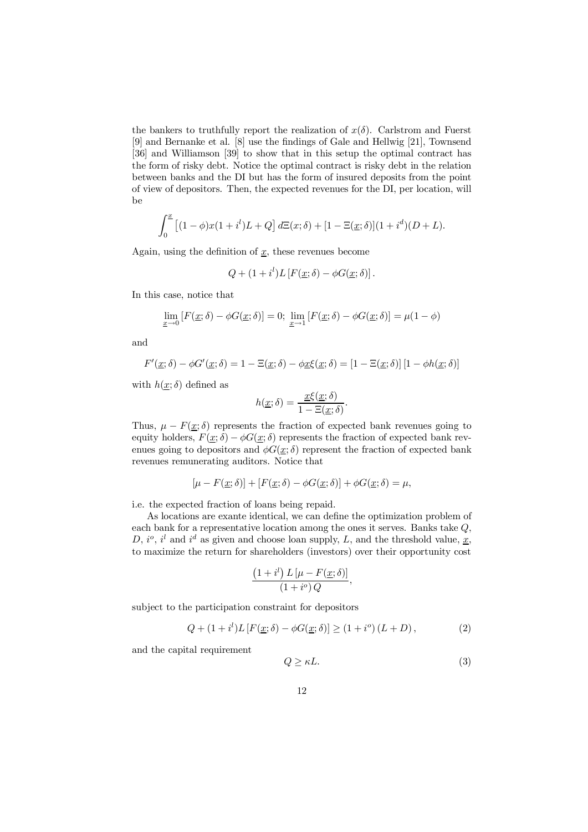the bankers to truthfully report the realization of  $x(\delta)$ . Carlstrom and Fuerst  $[9]$  and Bernanke et al.  $[8]$  use the findings of Gale and Hellwig  $[21]$ , Townsend [36] and Williamson [39] to show that in this setup the optimal contract has the form of risky debt. Notice the optimal contract is risky debt in the relation between banks and the DI but has the form of insured deposits from the point of view of depositors. Then, the expected revenues for the DI, per location, will be

$$
\int_0^{\underline{x}} \left[ (1 - \phi)x(1 + i^l)L + Q \right] d\Xi(x; \delta) + [1 - \Xi(\underline{x}; \delta)](1 + i^d)(D + L).
$$

Again, using the definition of  $\underline{x}$ , these revenues become

$$
Q + (1 + i^{l})L [F(\underline{x}; \delta) - \phi G(\underline{x}; \delta)].
$$

In this case, notice that

$$
\lim_{\underline{x}\to 0} [F(\underline{x};\delta) - \phi G(\underline{x};\delta)] = 0; \lim_{\underline{x}\to 1} [F(\underline{x};\delta) - \phi G(\underline{x};\delta)] = \mu(1-\phi)
$$

and

$$
F'(\underline{x}; \delta) - \phi G'(\underline{x}; \delta) = 1 - \Xi(\underline{x}; \delta) - \phi \underline{x} \xi(\underline{x}; \delta) = [1 - \Xi(\underline{x}; \delta)][1 - \phi h(\underline{x}; \delta)]
$$

with  $h(\underline{x}; \delta)$  defined as

$$
h(\underline{x};\delta) = \frac{\underline{x}\xi(\underline{x};\delta)}{1 - \Xi(\underline{x};\delta)}.
$$

Thus,  $\mu - F(\underline{x}; \delta)$  represents the fraction of expected bank revenues going to equity holders,  $F(\underline{x}; \delta) - \phi G(\underline{x}; \delta)$  represents the fraction of expected bank revenues going to depositors and  $\phi G(x; \delta)$  represent the fraction of expected bank revenues remunerating auditors. Notice that

$$
[\mu - F(\underline{x}; \delta)] + [F(\underline{x}; \delta) - \phi G(\underline{x}; \delta)] + \phi G(\underline{x}; \delta) = \mu,
$$

i.e. the expected fraction of loans being repaid.

As locations are exante identical, we can define the optimization problem of each bank for a representative location among the ones it serves. Banks take Q, D,  $i^o$ ,  $i^l$  and  $i^d$  as given and choose loan supply, L, and the threshold value,  $\underline{x}$ , to maximize the return for shareholders (investors) over their opportunity cost

$$
\frac{\left(1+i^{l}\right)L\left[\mu-F(\underline{x};\delta)\right]}{\left(1+i^{o}\right)Q},
$$

subject to the participation constraint for depositors

$$
Q + (1 + i^{l})L[F(\underline{x}; \delta) - \phi G(\underline{x}; \delta)] \ge (1 + i^{o}) (L + D),
$$
 (2)

and the capital requirement

$$
Q \ge \kappa L. \tag{3}
$$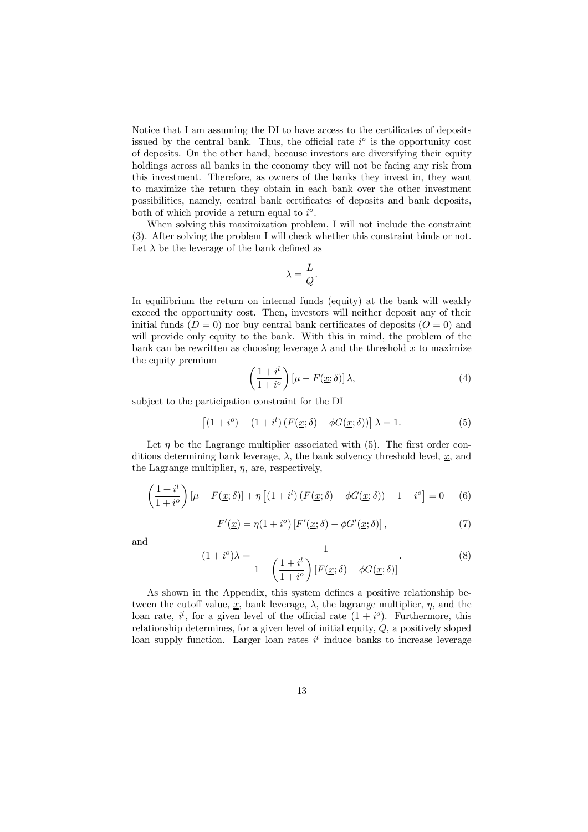Notice that I am assuming the DI to have access to the certificates of deposits issued by the central bank. Thus, the official rate  $i^{\circ}$  is the opportunity cost of deposits. On the other hand, because investors are diversifying their equity holdings across all banks in the economy they will not be facing any risk from this investment. Therefore, as owners of the banks they invest in, they want to maximize the return they obtain in each bank over the other investment possibilities, namely, central bank certificates of deposits and bank deposits, both of which provide a return equal to  $i^o$ .

When solving this maximization problem, I will not include the constraint (3). After solving the problem I will check whether this constraint binds or not. Let  $\lambda$  be the leverage of the bank defined as

$$
\lambda = \frac{L}{Q}.
$$

In equilibrium the return on internal funds (equity) at the bank will weakly exceed the opportunity cost. Then, investors will neither deposit any of their initial funds  $(D = 0)$  nor buy central bank certificates of deposits  $(D = 0)$  and will provide only equity to the bank. With this in mind, the problem of the bank can be rewritten as choosing leverage  $\lambda$  and the threshold  $\underline{x}$  to maximize the equity premium

$$
\left(\frac{1+i^l}{1+i^o}\right)[\mu - F(\underline{x};\delta)]\,\lambda,\tag{4}
$$

subject to the participation constraint for the DI

$$
[(1 + io) - (1 + il) (F(x; \delta) - \phi G(x; \delta))] \lambda = 1.
$$
 (5)

Let  $\eta$  be the Lagrange multiplier associated with (5). The first order conditions determining bank leverage,  $\lambda$ , the bank solvency threshold level,  $\underline{x}$ , and the Lagrange multiplier,  $\eta$ , are, respectively,

$$
\left(\frac{1+i^{l}}{1+i^{o}}\right)\left[\mu-F(\underline{x};\delta)\right]+\eta\left[\left(1+i^{l}\right)\left(F(\underline{x};\delta)-\phi G(\underline{x};\delta)\right)-1-i^{o}\right]=0\qquad(6)
$$

$$
F'(\underline{x}) = \eta(1 + i^o) \left[ F'(\underline{x}; \delta) - \phi G'(\underline{x}; \delta) \right],\tag{7}
$$

and

$$
(1+i^o)\lambda = \frac{1}{1-\left(\frac{1+i^l}{1+i^o}\right)[F(\underline{x};\delta) - \phi G(\underline{x};\delta)]}.
$$
\n(8)

As shown in the Appendix, this system defines a positive relationship between the cutoff value,  $\underline{x}$ , bank leverage,  $\lambda$ , the lagrange multiplier,  $\eta$ , and the loan rate,  $i^l$ , for a given level of the official rate  $(1 + i^o)$ . Furthermore, this relationship determines, for a given level of initial equity,  $Q$ , a positively sloped loan supply function. Larger loan rates  $i<sup>l</sup>$  induce banks to increase leverage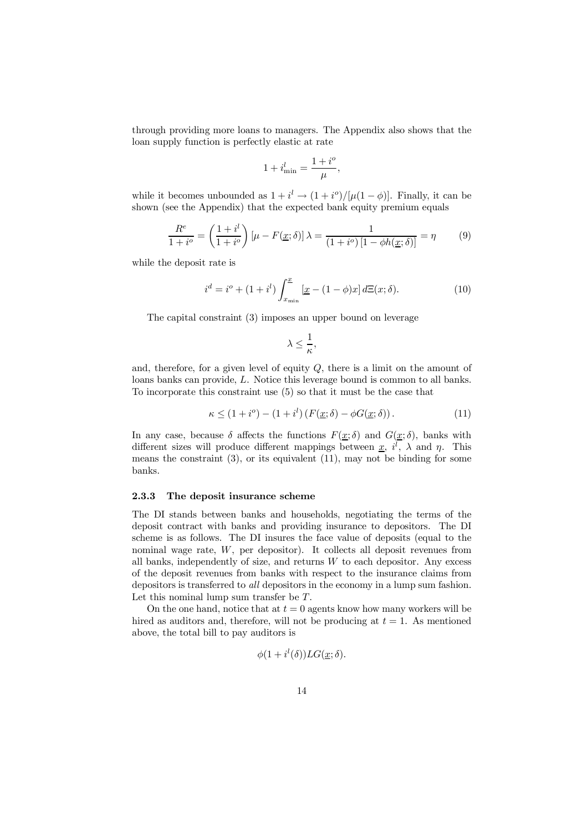through providing more loans to managers. The Appendix also shows that the loan supply function is perfectly elastic at rate

$$
1+i_{\min}^l=\frac{1+i^o}{\mu},
$$

while it becomes unbounded as  $1 + i^l \rightarrow (1 + i^o)/[\mu(1 - \phi)]$ . Finally, it can be shown (see the Appendix) that the expected bank equity premium equals

$$
\frac{R^e}{1+i^o} = \left(\frac{1+i^l}{1+i^o}\right)\left[\mu - F(\underline{x};\delta)\right]\lambda = \frac{1}{\left(1+i^o\right)\left[1-\phi h(\underline{x};\delta)\right]} = \eta \tag{9}
$$

while the deposit rate is

$$
i^{d} = i^{o} + (1 + i^{l}) \int_{x_{\min}}^{x} \left[ \underline{x} - (1 - \phi)x \right] d\Xi(x; \delta).
$$
 (10)

The capital constraint (3) imposes an upper bound on leverage

$$
\lambda \leq \frac{1}{\kappa},
$$

and, therefore, for a given level of equity  $Q$ , there is a limit on the amount of loans banks can provide, L. Notice this leverage bound is common to all banks. To incorporate this constraint use (5) so that it must be the case that

$$
\kappa \le (1 + i^o) - (1 + i^l) \left( F(\underline{x}; \delta) - \phi G(\underline{x}; \delta) \right). \tag{11}
$$

In any case, because  $\delta$  affects the functions  $F(\underline{x}; \delta)$  and  $G(\underline{x}; \delta)$ , banks with different sizes will produce different mappings between  $\underline{x}$ ,  $i^l$ ,  $\lambda$  and  $\eta$ . This means the constraint (3), or its equivalent (11), may not be binding for some banks.

#### 2.3.3 The deposit insurance scheme

The DI stands between banks and households, negotiating the terms of the deposit contract with banks and providing insurance to depositors. The DI scheme is as follows. The DI insures the face value of deposits (equal to the nominal wage rate, W, per depositor). It collects all deposit revenues from all banks, independently of size, and returns  $W$  to each depositor. Any excess of the deposit revenues from banks with respect to the insurance claims from depositors is transferred to *all* depositors in the economy in a lump sum fashion. Let this nominal lump sum transfer be T.

On the one hand, notice that at  $t = 0$  agents know how many workers will be hired as auditors and, therefore, will not be producing at  $t = 1$ . As mentioned above, the total bill to pay auditors is

$$
\phi(1+i^l(\delta))LG(\underline{x};\delta).
$$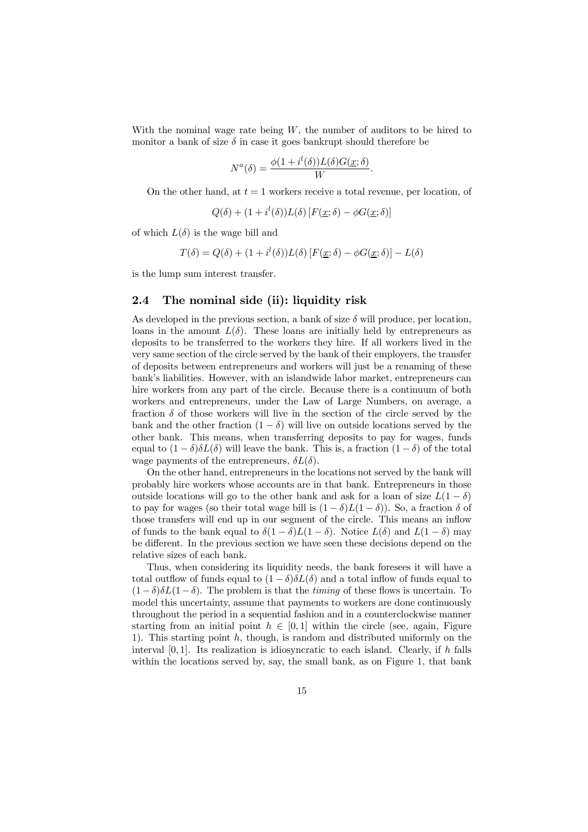With the nominal wage rate being  $W$ , the number of auditors to be hired to monitor a bank of size  $\delta$  in case it goes bankrupt should therefore be

$$
N^{a}(\delta) = \frac{\phi(1 + i^{l}(\delta))L(\delta)G(\underline{x};\delta)}{W}.
$$

On the other hand, at  $t = 1$  workers receive a total revenue, per location, of

$$
Q(\delta) + (1 + i^{l}(\delta))L(\delta) [F(\underline{x}; \delta) - \phi G(\underline{x}; \delta)]
$$

of which  $L(\delta)$  is the wage bill and

$$
T(\delta) = Q(\delta) + (1 + i^{l}(\delta))L(\delta) [F(\underline{x}; \delta) - \phi G(\underline{x}; \delta)] - L(\delta)
$$

is the lump sum interest transfer.

### 2.4 The nominal side (ii): liquidity risk

As developed in the previous section, a bank of size  $\delta$  will produce, per location, loans in the amount  $L(\delta)$ . These loans are initially held by entrepreneurs as deposits to be transferred to the workers they hire. If all workers lived in the very same section of the circle served by the bank of their employers, the transfer of deposits between entrepreneurs and workers will just be a renaming of these bank's liabilities. However, with an islandwide labor market, entrepreneurs can hire workers from any part of the circle. Because there is a continuum of both workers and entrepreneurs, under the Law of Large Numbers, on average, a fraction  $\delta$  of those workers will live in the section of the circle served by the bank and the other fraction  $(1 - \delta)$  will live on outside locations served by the other bank. This means, when transferring deposits to pay for wages, funds equal to  $(1 - \delta)\delta L(\delta)$  will leave the bank. This is, a fraction  $(1 - \delta)$  of the total wage payments of the entrepreneurs,  $\delta L(\delta)$ .

On the other hand, entrepreneurs in the locations not served by the bank will probably hire workers whose accounts are in that bank. Entrepreneurs in those outside locations will go to the other bank and ask for a loan of size  $L(1 - \delta)$ to pay for wages (so their total wage bill is  $(1 - \delta)L(1 - \delta)$ ). So, a fraction  $\delta$  of those transfers will end up in our segment of the circle. This means an inflow of funds to the bank equal to  $\delta(1 - \delta)L(1 - \delta)$ . Notice  $L(\delta)$  and  $L(1 - \delta)$  may be different. In the previous section we have seen these decisions depend on the relative sizes of each bank.

Thus, when considering its liquidity needs, the bank foresees it will have a total outflow of funds equal to  $(1 - \delta)\delta L(\delta)$  and a total inflow of funds equal to  $(1-\delta)\delta L(1-\delta)$ . The problem is that the *timing* of these flows is uncertain. To model this uncertainty, assume that payments to workers are done continuously throughout the period in a sequential fashion and in a counterclockwise manner starting from an initial point  $h \in [0, 1]$  within the circle (see, again, Figure 1). This starting point h, though, is random and distributed uniformly on the interval  $[0, 1]$ . Its realization is idiosyncratic to each island. Clearly, if h falls within the locations served by, say, the small bank, as on Figure 1, that bank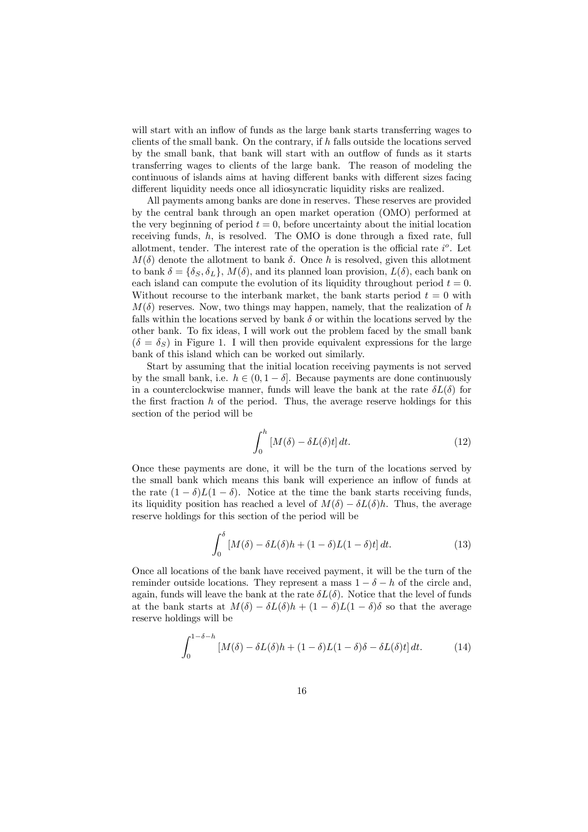will start with an inflow of funds as the large bank starts transferring wages to clients of the small bank. On the contrary, if  $h$  falls outside the locations served by the small bank, that bank will start with an outflow of funds as it starts transferring wages to clients of the large bank. The reason of modeling the continuous of islands aims at having different banks with different sizes facing different liquidity needs once all idiosyncratic liquidity risks are realized.

All payments among banks are done in reserves. These reserves are provided by the central bank through an open market operation (OMO) performed at the very beginning of period  $t = 0$ , before uncertainty about the initial location receiving funds,  $h$ , is resolved. The OMO is done through a fixed rate, full allotment, tender. The interest rate of the operation is the official rate  $i^o$ . Let  $M(\delta)$  denote the allotment to bank  $\delta$ . Once h is resolved, given this allotment to bank  $\delta = {\delta_S, \delta_L}$ ,  $M(\delta)$ , and its planned loan provision,  $L(\delta)$ , each bank on each island can compute the evolution of its liquidity throughout period  $t = 0$ . Without recourse to the interbank market, the bank starts period  $t = 0$  with  $M(\delta)$  reserves. Now, two things may happen, namely, that the realization of h falls within the locations served by bank  $\delta$  or within the locations served by the other bank. To fix ideas, I will work out the problem faced by the small bank  $(\delta = \delta_S)$  in Figure 1. I will then provide equivalent expressions for the large bank of this island which can be worked out similarly.

Start by assuming that the initial location receiving payments is not served by the small bank, i.e.  $h \in (0, 1 - \delta]$ . Because payments are done continuously in a counterclockwise manner, funds will leave the bank at the rate  $\delta L(\delta)$  for the first fraction  $h$  of the period. Thus, the average reserve holdings for this section of the period will be

$$
\int_0^h \left[ M(\delta) - \delta L(\delta) t \right] dt. \tag{12}
$$

Once these payments are done, it will be the turn of the locations served by the small bank which means this bank will experience an inflow of funds at the rate  $(1 - \delta)L(1 - \delta)$ . Notice at the time the bank starts receiving funds, its liquidity position has reached a level of  $M(\delta) - \delta L(\delta)h$ . Thus, the average reserve holdings for this section of the period will be

$$
\int_0^\delta \left[ M(\delta) - \delta L(\delta) h + (1 - \delta)L(1 - \delta)t \right] dt.
$$
 (13)

Once all locations of the bank have received payment, it will be the turn of the reminder outside locations. They represent a mass  $1 - \delta - h$  of the circle and, again, funds will leave the bank at the rate  $\delta L(\delta)$ . Notice that the level of funds at the bank starts at  $M(\delta) - \delta L(\delta)h + (1 - \delta)L(1 - \delta)\delta$  so that the average reserve holdings will be

$$
\int_0^{1-\delta-h} \left[ M(\delta) - \delta L(\delta)h + (1-\delta)L(1-\delta)\delta - \delta L(\delta)t \right] dt.
$$
 (14)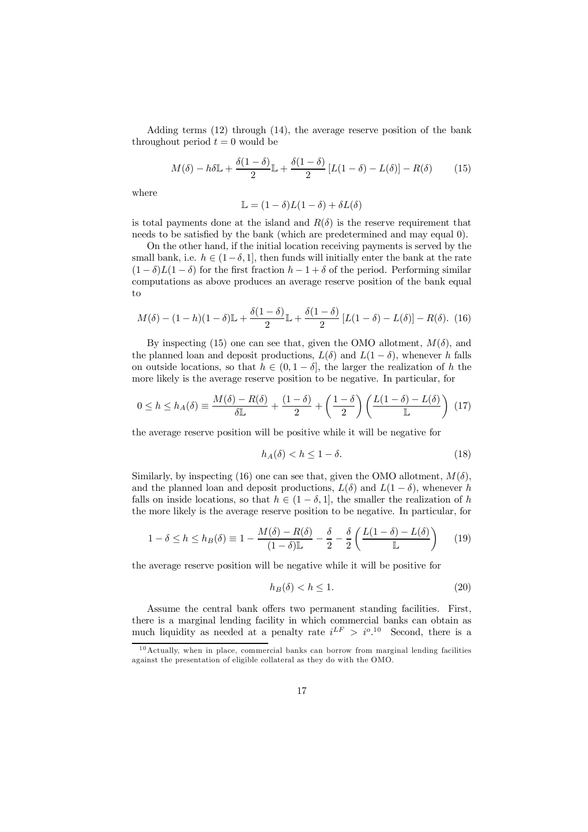Adding terms (12) through (14), the average reserve position of the bank throughout period  $t = 0$  would be

$$
M(\delta) - h\delta \mathbb{L} + \frac{\delta(1-\delta)}{2} \mathbb{L} + \frac{\delta(1-\delta)}{2} \left[ L(1-\delta) - L(\delta) \right] - R(\delta) \tag{15}
$$

where

$$
\mathbb{L} = (1 - \delta)L(1 - \delta) + \delta L(\delta)
$$

is total payments done at the island and  $R(\delta)$  is the reserve requirement that needs to be satisfied by the bank (which are predetermined and may equal 0).

On the other hand, if the initial location receiving payments is served by the small bank, i.e.  $h \in (1-\delta, 1]$ , then funds will initially enter the bank at the rate  $(1 - \delta)L(1 - \delta)$  for the first fraction  $h - 1 + \delta$  of the period. Performing similar computations as above produces an average reserve position of the bank equal to

$$
M(\delta) - (1 - h)(1 - \delta)\mathbb{L} + \frac{\delta(1 - \delta)}{2}\mathbb{L} + \frac{\delta(1 - \delta)}{2}[L(1 - \delta) - L(\delta)] - R(\delta). \tag{16}
$$

By inspecting (15) one can see that, given the OMO allotment,  $M(\delta)$ , and the planned loan and deposit productions,  $L(\delta)$  and  $L(1 - \delta)$ , whenever h falls on outside locations, so that  $h \in (0, 1 - \delta]$ , the larger the realization of h the more likely is the average reserve position to be negative. In particular, for

$$
0 \le h \le h_A(\delta) \equiv \frac{M(\delta) - R(\delta)}{\delta \mathbb{L}} + \frac{(1 - \delta)}{2} + \left(\frac{1 - \delta}{2}\right) \left(\frac{L(1 - \delta) - L(\delta)}{\mathbb{L}}\right) (17)
$$

the average reserve position will be positive while it will be negative for

$$
h_A(\delta) < h \le 1 - \delta. \tag{18}
$$

Similarly, by inspecting (16) one can see that, given the OMO allotment,  $M(\delta)$ , and the planned loan and deposit productions,  $L(\delta)$  and  $L(1 - \delta)$ , whenever h falls on inside locations, so that  $h \in (1 - \delta, 1]$ , the smaller the realization of h the more likely is the average reserve position to be negative. In particular, for

$$
1 - \delta \le h \le h_B(\delta) \equiv 1 - \frac{M(\delta) - R(\delta)}{(1 - \delta)\mathbb{L}} - \frac{\delta}{2} - \frac{\delta}{2} \left( \frac{L(1 - \delta) - L(\delta)}{\mathbb{L}} \right) \tag{19}
$$

the average reserve position will be negative while it will be positive for

$$
h_B(\delta) < h \le 1. \tag{20}
$$

Assume the central bank offers two permanent standing facilities. First, there is a marginal lending facility in which commercial banks can obtain as much liquidity as needed at a penalty rate  $i^{LF} > i^{o}$ .<sup>10</sup> Second, there is a

 $10$ Actually, when in place, commercial banks can borrow from marginal lending facilities against the presentation of eligible collateral as they do with the OMO.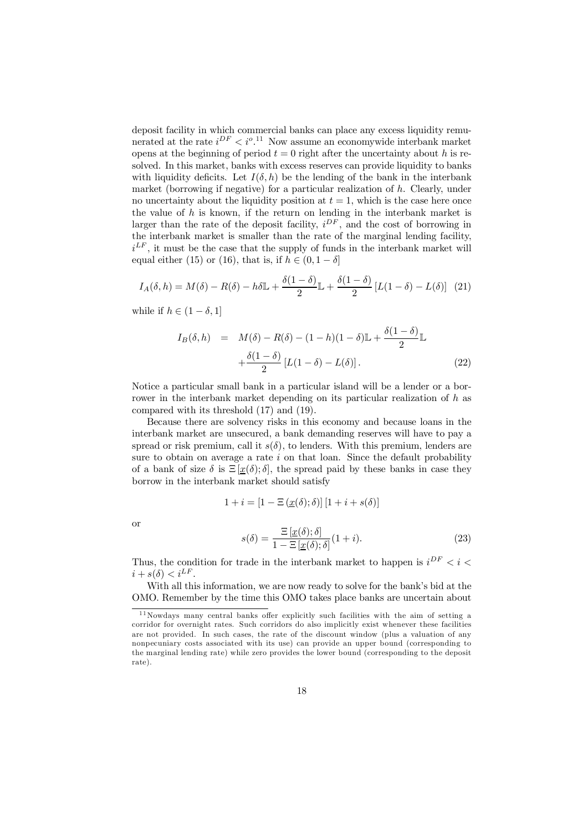deposit facility in which commercial banks can place any excess liquidity remunerated at the rate  $i^{DF} < i^{o}$ .<sup>11</sup> Now assume an economywide interbank market opens at the beginning of period  $t = 0$  right after the uncertainty about h is resolved. In this market, banks with excess reserves can provide liquidity to banks with liquidity deficits. Let  $I(\delta, h)$  be the lending of the bank in the interbank market (borrowing if negative) for a particular realization of h. Clearly, under no uncertainty about the liquidity position at  $t = 1$ , which is the case here once the value of  $h$  is known, if the return on lending in the interbank market is larger than the rate of the deposit facility,  $i^{DF}$ , and the cost of borrowing in the interbank market is smaller than the rate of the marginal lending facility,  $i^{LF}$ , it must be the case that the supply of funds in the interbank market will equal either (15) or (16), that is, if  $h \in (0, 1 - \delta]$ 

$$
I_A(\delta, h) = M(\delta) - R(\delta) - h\delta \mathbb{L} + \frac{\delta(1-\delta)}{2} \mathbb{L} + \frac{\delta(1-\delta)}{2} \left[ L(1-\delta) - L(\delta) \right] (21)
$$

while if  $h \in (1 - \delta, 1]$ 

$$
I_B(\delta, h) = M(\delta) - R(\delta) - (1 - h)(1 - \delta)\mathbb{L} + \frac{\delta(1 - \delta)}{2}\mathbb{L}
$$

$$
+ \frac{\delta(1 - \delta)}{2}[L(1 - \delta) - L(\delta)].
$$
(22)

Notice a particular small bank in a particular island will be a lender or a borrower in the interbank market depending on its particular realization of h as compared with its threshold (17) and (19).

Because there are solvency risks in this economy and because loans in the interbank market are unsecured, a bank demanding reserves will have to pay a spread or risk premium, call it  $s(\delta)$ , to lenders. With this premium, lenders are sure to obtain on average a rate  $i$  on that loan. Since the default probability of a bank of size  $\delta$  is  $\Xi[\underline{x}(\delta);\delta]$ , the spread paid by these banks in case they borrow in the interbank market should satisfy

$$
1 + i = [1 - \Xi(\underline{x}(\delta); \delta)][1 + i + s(\delta)]
$$

or

$$
s(\delta) = \frac{\Xi\left[\underline{x}(\delta); \delta\right]}{1 - \Xi\left[\underline{x}(\delta); \delta\right]} (1 + i).
$$
 (23)

Thus, the condition for trade in the interbank market to happen is  $i^{DF} < i <$  $i + s(\delta) < i^{LF}.$ 

With all this information, we are now ready to solve for the bank's bid at the OMO. Remember by the time this OMO takes place banks are uncertain about

 $11$ Nowdays many central banks offer explicitly such facilities with the aim of setting a corridor for overnight rates. Such corridors do also implicitly exist whenever these facilities are not provided. In such cases, the rate of the discount window (plus a valuation of any nonpecuniary costs associated with its use) can provide an upper bound (corresponding to the marginal lending rate) while zero provides the lower bound (corresponding to the deposit rate).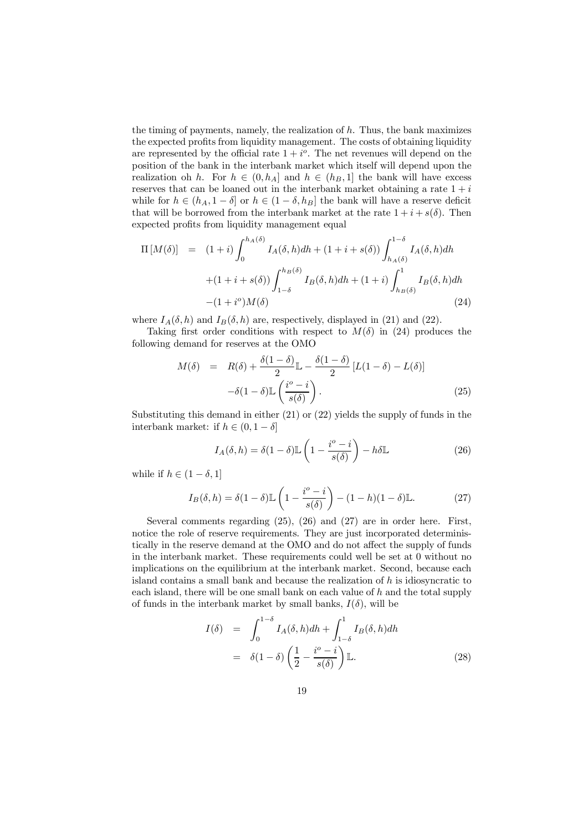the timing of payments, namely, the realization of  $h$ . Thus, the bank maximizes the expected profits from liquidity management. The costs of obtaining liquidity are represented by the official rate  $1 + i^{\circ}$ . The net revenues will depend on the position of the bank in the interbank market which itself will depend upon the realization oh h. For  $h \in (0, h_A]$  and  $h \in (h_B, 1]$  the bank will have excess reserves that can be loaned out in the interbank market obtaining a rate  $1 + i$ while for  $h \in (h_A, 1 - \delta]$  or  $h \in (1 - \delta, h_B]$  the bank will have a reserve deficit that will be borrowed from the interbank market at the rate  $1 + i + s(\delta)$ . Then expected profits from liquidity management equal

$$
\Pi\left[M(\delta)\right] = (1+i) \int_0^{h_A(\delta)} I_A(\delta, h)dh + (1+i+s(\delta)) \int_{h_A(\delta)}^{1-\delta} I_A(\delta, h)dh \n+ (1+i+s(\delta)) \int_{1-\delta}^{h_B(\delta)} I_B(\delta, h)dh + (1+i) \int_{h_B(\delta)}^1 I_B(\delta, h)dh \n- (1+i^o)M(\delta)
$$
\n(24)

where  $I_A(\delta, h)$  and  $I_B(\delta, h)$  are, respectively, displayed in (21) and (22).

Taking first order conditions with respect to  $M(\delta)$  in (24) produces the following demand for reserves at the OMO

$$
M(\delta) = R(\delta) + \frac{\delta(1-\delta)}{2} \mathbb{L} - \frac{\delta(1-\delta)}{2} [L(1-\delta) - L(\delta)]
$$

$$
-\delta(1-\delta) \mathbb{L} \left(\frac{i^o - i}{s(\delta)}\right). \tag{25}
$$

Substituting this demand in either  $(21)$  or  $(22)$  yields the supply of funds in the interbank market: if  $h \in (0, 1 - \delta]$ 

$$
I_A(\delta, h) = \delta(1 - \delta)\mathbb{L}\left(1 - \frac{i^o - i}{s(\delta)}\right) - h\delta\mathbb{L}
$$
\n(26)

while if  $h \in (1 - \delta, 1]$ 

$$
I_B(\delta, h) = \delta(1 - \delta) \mathbb{L}\left(1 - \frac{i^o - i}{s(\delta)}\right) - (1 - h)(1 - \delta)\mathbb{L}.
$$
 (27)

Several comments regarding (25), (26) and (27) are in order here. First, notice the role of reserve requirements. They are just incorporated deterministically in the reserve demand at the OMO and do not affect the supply of funds in the interbank market. These requirements could well be set at 0 without no implications on the equilibrium at the interbank market. Second, because each island contains a small bank and because the realization of  $h$  is idiosyncratic to each island, there will be one small bank on each value of h and the total supply of funds in the interbank market by small banks,  $I(\delta)$ , will be

$$
I(\delta) = \int_0^{1-\delta} I_A(\delta, h)dh + \int_{1-\delta}^1 I_B(\delta, h)dh
$$
  
=  $\delta(1-\delta) \left(\frac{1}{2} - \frac{i^o - i}{s(\delta)}\right) \mathbb{L}.$  (28)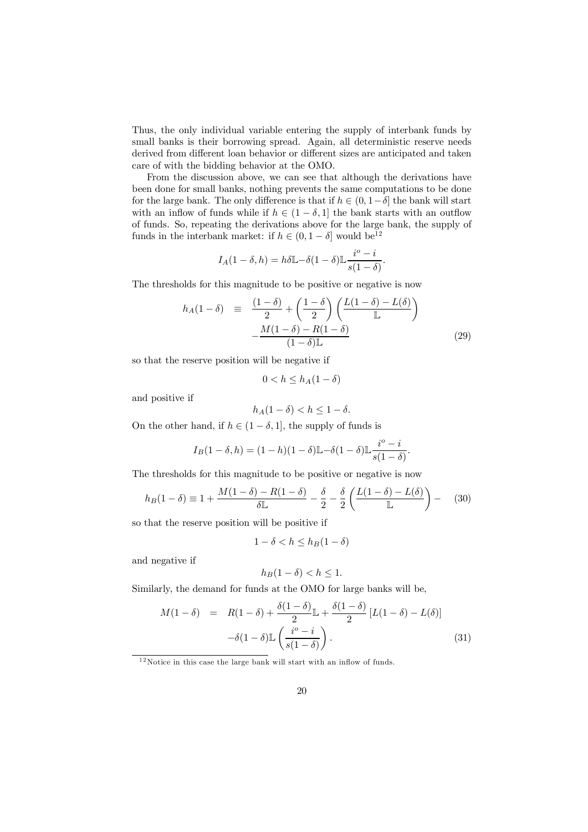Thus, the only individual variable entering the supply of interbank funds by small banks is their borrowing spread. Again, all deterministic reserve needs derived from different loan behavior or different sizes are anticipated and taken care of with the bidding behavior at the OMO.

From the discussion above, we can see that although the derivations have been done for small banks, nothing prevents the same computations to be done for the large bank. The only difference is that if  $h \in (0, 1-\delta]$  the bank will start with an inflow of funds while if  $h \in (1 - \delta, 1]$  the bank starts with an outflow of funds. So, repeating the derivations above for the large bank, the supply of funds in the interbank market: if  $h \in (0, 1 - \delta]$  would be<sup>12</sup>

$$
I_A(1-\delta,h) = h\delta \mathbb{L} - \delta(1-\delta)\mathbb{L}\frac{i^o - i}{s(1-\delta)}.
$$

The thresholds for this magnitude to be positive or negative is now

$$
h_A(1 - \delta) = \frac{(1 - \delta)}{2} + \left(\frac{1 - \delta}{2}\right) \left(\frac{L(1 - \delta) - L(\delta)}{L}\right)
$$

$$
-\frac{M(1 - \delta) - R(1 - \delta)}{(1 - \delta)L}
$$
(29)

so that the reserve position will be negative if

$$
0 < h \le h_A(1 - \delta)
$$

and positive if

$$
h_A(1-\delta) < h \le 1 - \delta.
$$

On the other hand, if  $h \in (1 - \delta, 1]$ , the supply of funds is

$$
I_B(1-\delta,h) = (1-h)(1-\delta)\mathbb{L} - \delta(1-\delta)\mathbb{L}\frac{i^o - i}{s(1-\delta)}.
$$

The thresholds for this magnitude to be positive or negative is now

$$
h_B(1-\delta) \equiv 1 + \frac{M(1-\delta) - R(1-\delta)}{\delta \mathbb{L}} - \frac{\delta}{2} - \frac{\delta}{2} \left( \frac{L(1-\delta) - L(\delta)}{\mathbb{L}} \right) - (30)
$$

so that the reserve position will be positive if

$$
1 - \delta < h \le h_B(1 - \delta)
$$

and negative if

$$
h_B(1-\delta) < h \le 1.
$$

Similarly, the demand for funds at the OMO for large banks will be,

$$
M(1 - \delta) = R(1 - \delta) + \frac{\delta(1 - \delta)}{2} \mathbb{L} + \frac{\delta(1 - \delta)}{2} [L(1 - \delta) - L(\delta)]
$$

$$
-\delta(1 - \delta) \mathbb{L} \left( \frac{i^{\circ} - i}{s(1 - \delta)} \right). \tag{31}
$$

 $12$ Notice in this case the large bank will start with an inflow of funds.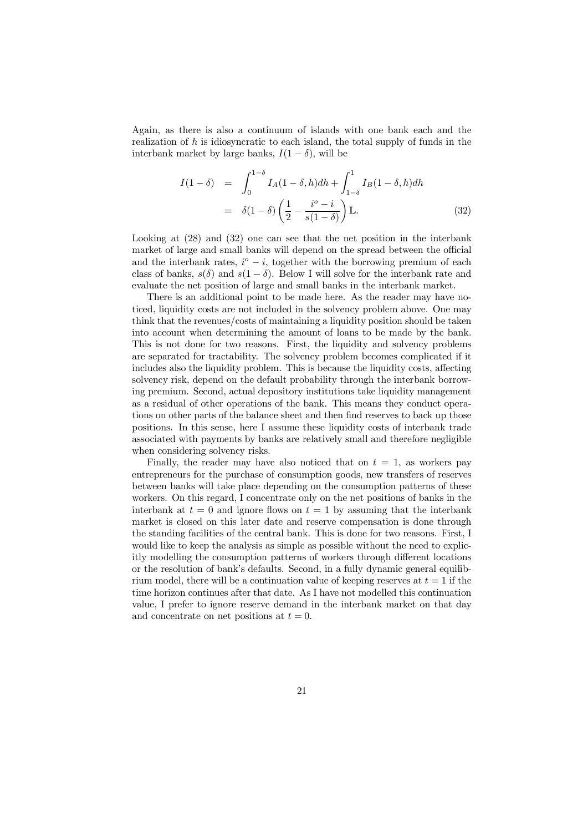Again, as there is also a continuum of islands with one bank each and the realization of  $h$  is idiosyncratic to each island, the total supply of funds in the interbank market by large banks,  $I(1 - \delta)$ , will be

$$
I(1 - \delta) = \int_0^{1-\delta} I_A(1 - \delta, h)dh + \int_{1-\delta}^1 I_B(1 - \delta, h)dh
$$

$$
= \delta(1 - \delta) \left(\frac{1}{2} - \frac{i^{\circ} - i}{s(1 - \delta)}\right) \mathbb{L}.
$$
(32)

Looking at  $(28)$  and  $(32)$  one can see that the net position in the interbank market of large and small banks will depend on the spread between the official and the interbank rates,  $i^o - i$ , together with the borrowing premium of each class of banks,  $s(\delta)$  and  $s(1 - \delta)$ . Below I will solve for the interbank rate and evaluate the net position of large and small banks in the interbank market.

There is an additional point to be made here. As the reader may have noticed, liquidity costs are not included in the solvency problem above. One may think that the revenues/costs of maintaining a liquidity position should be taken into account when determining the amount of loans to be made by the bank. This is not done for two reasons. First, the liquidity and solvency problems are separated for tractability. The solvency problem becomes complicated if it includes also the liquidity problem. This is because the liquidity costs, affecting solvency risk, depend on the default probability through the interbank borrowing premium. Second, actual depository institutions take liquidity management as a residual of other operations of the bank. This means they conduct operations on other parts of the balance sheet and then find reserves to back up those positions. In this sense, here I assume these liquidity costs of interbank trade associated with payments by banks are relatively small and therefore negligible when considering solvency risks.

Finally, the reader may have also noticed that on  $t = 1$ , as workers pay entrepreneurs for the purchase of consumption goods, new transfers of reserves between banks will take place depending on the consumption patterns of these workers. On this regard, I concentrate only on the net positions of banks in the interbank at  $t = 0$  and ignore flows on  $t = 1$  by assuming that the interbank market is closed on this later date and reserve compensation is done through the standing facilities of the central bank. This is done for two reasons. First, I would like to keep the analysis as simple as possible without the need to explicitly modelling the consumption patterns of workers through different locations or the resolution of bank's defaults. Second, in a fully dynamic general equilibrium model, there will be a continuation value of keeping reserves at  $t = 1$  if the time horizon continues after that date. As I have not modelled this continuation value, I prefer to ignore reserve demand in the interbank market on that day and concentrate on net positions at  $t = 0$ .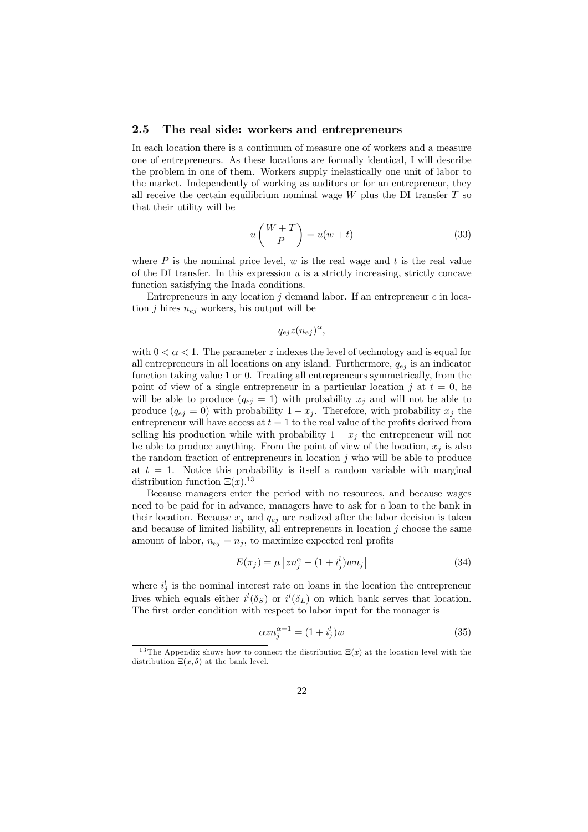### 2.5 The real side: workers and entrepreneurs

In each location there is a continuum of measure one of workers and a measure one of entrepreneurs. As these locations are formally identical, I will describe the problem in one of them. Workers supply inelastically one unit of labor to the market. Independently of working as auditors or for an entrepreneur, they all receive the certain equilibrium nominal wage  $W$  plus the DI transfer  $T$  so that their utility will be

$$
u\left(\frac{W+T}{P}\right) = u(w+t)
$$
\n(33)

where  $P$  is the nominal price level,  $w$  is the real wage and  $t$  is the real value of the DI transfer. In this expression  $u$  is a strictly increasing, strictly concave function satisfying the Inada conditions.

Entrepreneurs in any location  $j$  demand labor. If an entrepreneur  $e$  in location j hires  $n_{ej}$  workers, his output will be

 $q_{ej}z(n_{ej})^{\alpha},$ 

with  $0 < \alpha < 1$ . The parameter z indexes the level of technology and is equal for all entrepreneurs in all locations on any island. Furthermore,  $q_{ej}$  is an indicator function taking value 1 or 0. Treating all entrepreneurs symmetrically, from the point of view of a single entrepreneur in a particular location j at  $t = 0$ , he will be able to produce  $(q_{ej} = 1)$  with probability  $x_j$  and will not be able to produce  $(q_{ej} = 0)$  with probability  $1 - x_j$ . Therefore, with probability  $x_j$  the entrepreneur will have access at  $t = 1$  to the real value of the profits derived from selling his production while with probability  $1 - x_j$  the entrepreneur will not be able to produce anything. From the point of view of the location,  $x_i$  is also the random fraction of entrepreneurs in location  $j$  who will be able to produce at  $t = 1$ . Notice this probability is itself a random variable with marginal distribution function  $\Xi(x)$ .<sup>13</sup>

Because managers enter the period with no resources, and because wages need to be paid for in advance, managers have to ask for a loan to the bank in their location. Because  $x_i$  and  $q_{ej}$  are realized after the labor decision is taken and because of limited liability, all entrepreneurs in location  $j$  choose the same amount of labor,  $n_{ej} = n_j$ , to maximize expected real profits

$$
E(\pi_j) = \mu \left[ z n_j^{\alpha} - (1 + i_j^l) w n_j \right] \tag{34}
$$

where  $i_j^l$  is the nominal interest rate on loans in the location the entrepreneur lives which equals either  $i^{l}(\delta_{S})$  or  $i^{l}(\delta_{L})$  on which bank serves that location. The first order condition with respect to labor input for the manager is

$$
\alpha z n_j^{\alpha - 1} = (1 + i_j^l) w \tag{35}
$$

<sup>&</sup>lt;sup>13</sup>The Appendix shows how to connect the distribution  $\Xi(x)$  at the location level with the distribution  $\Xi(x, \delta)$  at the bank level.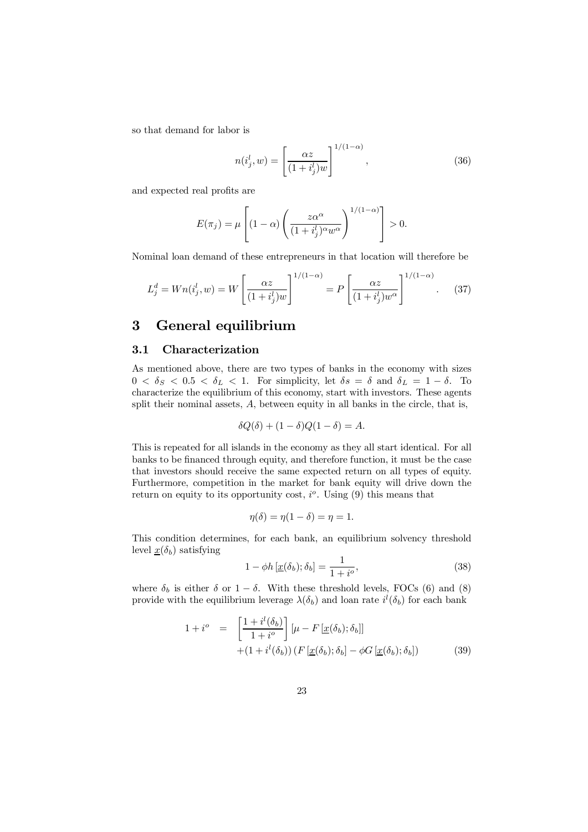so that demand for labor is

$$
n(i_j^l, w) = \left[\frac{\alpha z}{(1 + i_j^l)w}\right]^{1/(1-\alpha)},
$$
\n(36)

and expected real profits are

$$
E(\pi_j) = \mu \left[ (1 - \alpha) \left( \frac{z \alpha^{\alpha}}{(1 + i_j^{l})^{\alpha} w^{\alpha}} \right)^{1/(1 - \alpha)} \right] > 0.
$$

Nominal loan demand of these entrepreneurs in that location will therefore be

$$
L_j^d = Wn(i_j^l, w) = W\left[\frac{\alpha z}{(1+i_j^l)w}\right]^{1/(1-\alpha)} = P\left[\frac{\alpha z}{(1+i_j^l)w^{\alpha}}\right]^{1/(1-\alpha)}.
$$
 (37)

## 3 General equilibrium

### 3.1 Characterization

As mentioned above, there are two types of banks in the economy with sizes  $0 < \delta_S < 0.5 < \delta_L < 1$ . For simplicity, let  $\delta s = \delta$  and  $\delta_L = 1 - \delta$ . To characterize the equilibrium of this economy, start with investors. These agents split their nominal assets, A, between equity in all banks in the circle, that is,

$$
\delta Q(\delta) + (1 - \delta)Q(1 - \delta) = A.
$$

This is repeated for all islands in the economy as they all start identical. For all banks to be financed through equity, and therefore function, it must be the case that investors should receive the same expected return on all types of equity. Furthermore, competition in the market for bank equity will drive down the return on equity to its opportunity cost,  $i^{\circ}$ . Using (9) this means that

$$
\eta(\delta) = \eta(1 - \delta) = \eta = 1.
$$

This condition determines, for each bank, an equilibrium solvency threshold level  $\underline{x}(\delta_b)$  satisfying

$$
1 - \phi h \left[ \underline{x}(\delta_b); \delta_b \right] = \frac{1}{1 + i^o},\tag{38}
$$

where  $\delta_b$  is either  $\delta$  or  $1 - \delta$ . With these threshold levels, FOCs (6) and (8) provide with the equilibrium leverage  $\lambda(\delta_b)$  and loan rate  $i^l(\delta_b)$  for each bank

$$
1 + i^{o} = \left[\frac{1 + i^{l}(\delta_{b})}{1 + i^{o}}\right] [\mu - F[\underline{x}(\delta_{b}); \delta_{b}]] + (1 + i^{l}(\delta_{b})) (F[\underline{x}(\delta_{b}); \delta_{b}] - \phi G[\underline{x}(\delta_{b}); \delta_{b}])
$$
(39)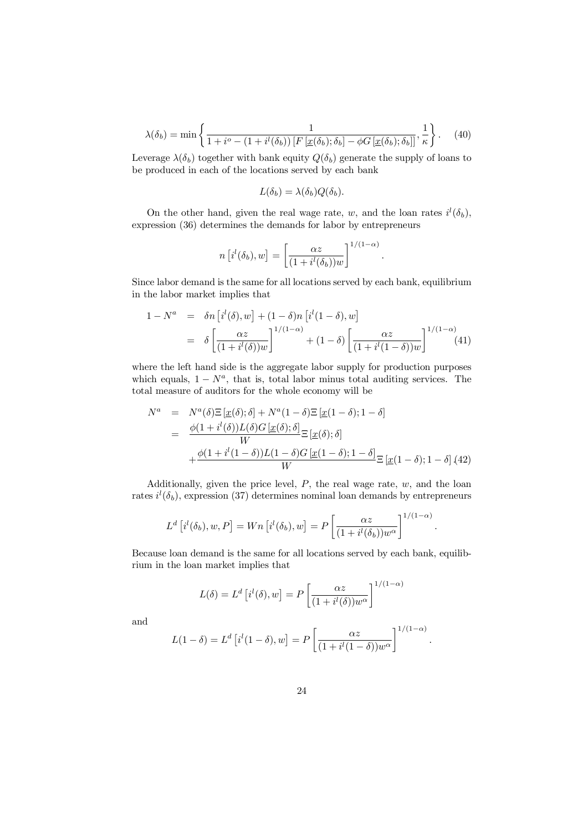$$
\lambda(\delta_b) = \min\left\{\frac{1}{1 + i^o - (1 + i^l(\delta_b))\left[F\left[\underline{x}(\delta_b); \delta_b\right] - \phi G\left[\underline{x}(\delta_b); \delta_b\right]\right]}, \frac{1}{\kappa}\right\}.
$$
 (40)

Leverage  $\lambda(\delta_b)$  together with bank equity  $Q(\delta_b)$  generate the supply of loans to be produced in each of the locations served by each bank

$$
L(\delta_b) = \lambda(\delta_b) Q(\delta_b).
$$

On the other hand, given the real wage rate, w, and the loan rates  $i^{l}(\delta_b)$ , expression (36) determines the demands for labor by entrepreneurs

$$
n [i^{l}(\delta_{b}), w] = \left[\frac{\alpha z}{(1 + i^{l}(\delta_{b}))w}\right]^{1/(1-\alpha)}
$$

:

:

:

Since labor demand is the same for all locations served by each bank, equilibrium in the labor market implies that

$$
1 - N^a = \delta n \left[ i^l(\delta), w \right] + (1 - \delta) n \left[ i^l(1 - \delta), w \right]
$$

$$
= \delta \left[ \frac{\alpha z}{(1 + i^l(\delta))w} \right]^{1/(1-\alpha)} + (1 - \delta) \left[ \frac{\alpha z}{(1 + i^l(1 - \delta))w} \right]^{1/(1-\alpha)} \tag{41}
$$

where the left hand side is the aggregate labor supply for production purposes which equals,  $1 - N^a$ , that is, total labor minus total auditing services. The total measure of auditors for the whole economy will be

$$
N^{a} = N^{a}(\delta) \Xi \left[ \underline{x}(\delta); \delta \right] + N^{a} (1 - \delta) \Xi \left[ \underline{x} (1 - \delta); 1 - \delta \right]
$$
  
= 
$$
\frac{\phi(1 + i^{l}(\delta)) L(\delta) G \left[ \underline{x}(\delta); \delta \right]}{W} \Xi \left[ \underline{x}(\delta); \delta \right]
$$
  
+ 
$$
\frac{\phi(1 + i^{l} (1 - \delta)) L(1 - \delta) G \left[ \underline{x} (1 - \delta); 1 - \delta \right]}{W} \Xi \left[ \underline{x} (1 - \delta); 1 - \delta \right] (42)
$$

Additionally, given the price level,  $P$ , the real wage rate,  $w$ , and the loan rates  $i^{l}(\delta_{b})$ , expression (37) determines nominal loan demands by entrepreneurs

$$
L^d \left[ i^l(\delta_b), w, P \right] = Wn \left[ i^l(\delta_b), w \right] = P \left[ \frac{\alpha z}{(1 + i^l(\delta_b))w^{\alpha}} \right]^{1/(1-\alpha)}
$$

Because loan demand is the same for all locations served by each bank, equilibrium in the loan market implies that

$$
L(\delta) = L^d \left[ i^l(\delta), w \right] = P \left[ \frac{\alpha z}{(1 + i^l(\delta))w^{\alpha}} \right]^{1/(1-\alpha)}
$$

and

$$
L(1 - \delta) = L^d \left[ i^l (1 - \delta), w \right] = P \left[ \frac{\alpha z}{(1 + i^l (1 - \delta)) w^{\alpha}} \right]^{1/(1 - \alpha)}
$$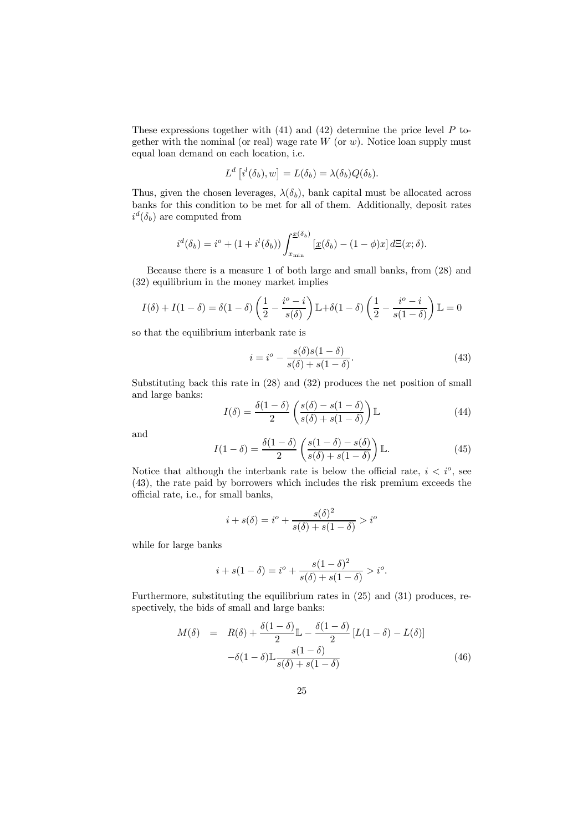These expressions together with  $(41)$  and  $(42)$  determine the price level P together with the nominal (or real) wage rate  $W$  (or  $w$ ). Notice loan supply must equal loan demand on each location, i.e.

$$
L^d\left[i^l(\delta_b), w\right] = L(\delta_b) = \lambda(\delta_b) Q(\delta_b).
$$

Thus, given the chosen leverages,  $\lambda(\delta_b)$ , bank capital must be allocated across banks for this condition to be met for all of them. Additionally, deposit rates  $i^d(\delta_b)$  are computed from

$$
i^d(\delta_b) = i^o + (1 + i^l(\delta_b)) \int_{x_{\min}}^{\underline{x}(\delta_b)} [\underline{x}(\delta_b) - (1 - \phi)x] d\Xi(x; \delta).
$$

Because there is a measure 1 of both large and small banks, from (28) and (32) equilibrium in the money market implies

$$
I(\delta) + I(1 - \delta) = \delta(1 - \delta) \left(\frac{1}{2} - \frac{i^{\circ} - i}{s(\delta)}\right) \mathbb{L} + \delta(1 - \delta) \left(\frac{1}{2} - \frac{i^{\circ} - i}{s(1 - \delta)}\right) \mathbb{L} = 0
$$

so that the equilibrium interbank rate is

$$
i = i^o - \frac{s(\delta)s(1-\delta)}{s(\delta) + s(1-\delta)}.\tag{43}
$$

Substituting back this rate in (28) and (32) produces the net position of small and large banks:

$$
I(\delta) = \frac{\delta(1-\delta)}{2} \left( \frac{s(\delta) - s(1-\delta)}{s(\delta) + s(1-\delta)} \right) \mathbb{L}
$$
 (44)

and

$$
I(1 - \delta) = \frac{\delta(1 - \delta)}{2} \left( \frac{s(1 - \delta) - s(\delta)}{s(\delta) + s(1 - \delta)} \right) \mathbb{L}.
$$
 (45)

Notice that although the interbank rate is below the official rate,  $i < i^{\circ}$ , see (43), the rate paid by borrowers which includes the risk premium exceeds the official rate, i.e., for small banks,

$$
i + s(\delta) = i^o + \frac{s(\delta)^2}{s(\delta) + s(1 - \delta)} > i^o
$$

while for large banks

$$
i + s(1 - \delta) = i^{\circ} + \frac{s(1 - \delta)^2}{s(\delta) + s(1 - \delta)} > i^{\circ}.
$$

Furthermore, substituting the equilibrium rates in (25) and (31) produces, respectively, the bids of small and large banks:

$$
M(\delta) = R(\delta) + \frac{\delta(1-\delta)}{2} \mathbb{L} - \frac{\delta(1-\delta)}{2} \left[ L(1-\delta) - L(\delta) \right]
$$

$$
-\delta(1-\delta) \mathbb{L} \frac{s(1-\delta)}{s(\delta) + s(1-\delta)} \tag{46}
$$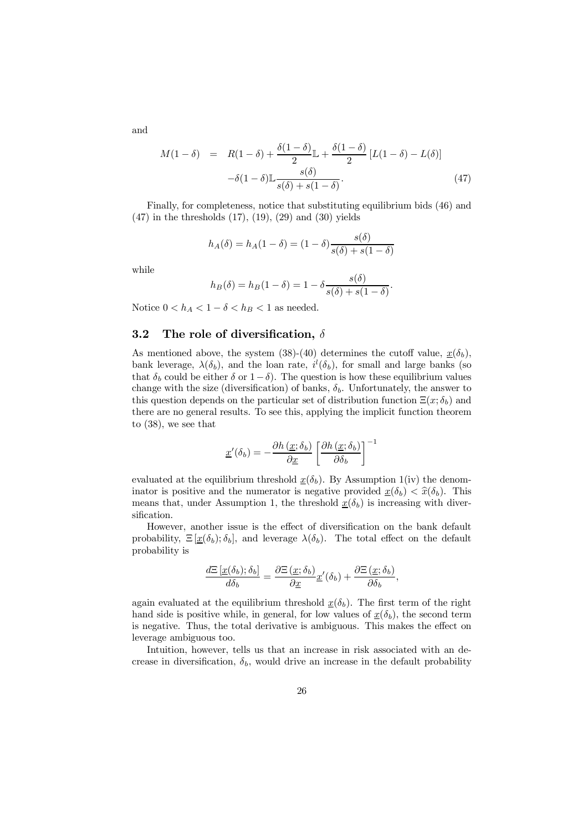and

$$
M(1 - \delta) = R(1 - \delta) + \frac{\delta(1 - \delta)}{2} \mathbb{L} + \frac{\delta(1 - \delta)}{2} [L(1 - \delta) - L(\delta)]
$$

$$
- \delta(1 - \delta) \mathbb{L} \frac{s(\delta)}{s(\delta) + s(1 - \delta)}.
$$
(47)

Finally, for completeness, notice that substituting equilibrium bids (46) and  $(47)$  in the thresholds  $(17)$ ,  $(19)$ ,  $(29)$  and  $(30)$  yields

$$
h_A(\delta) = h_A(1 - \delta) = (1 - \delta) \frac{s(\delta)}{s(\delta) + s(1 - \delta)}
$$

while

$$
h_B(\delta) = h_B(1 - \delta) = 1 - \delta \frac{s(\delta)}{s(\delta) + s(1 - \delta)}.
$$

Notice  $0 < h_A < 1 - \delta < h_B < 1$  as needed.

### 3.2 The role of diversification,  $\delta$

As mentioned above, the system (38)-(40) determines the cutoff value,  $\underline{x}(\delta_b)$ , bank leverage,  $\lambda(\delta_b)$ , and the loan rate,  $i^l(\delta_b)$ , for small and large banks (so that  $\delta_b$  could be either  $\delta$  or  $1-\delta$ ). The question is how these equilibrium values change with the size (diversification) of banks,  $\delta_b$ . Unfortunately, the answer to this question depends on the particular set of distribution function  $\Xi(x; \delta_b)$  and there are no general results. To see this, applying the implicit function theorem to (38), we see that

$$
\underline{x}'(\delta_b) = -\frac{\partial h(\underline{x}; \delta_b)}{\partial \underline{x}} \left[ \frac{\partial h(\underline{x}; \delta_b)}{\partial \delta_b} \right]^{-1}
$$

evaluated at the equilibrium threshold  $x(\delta_b)$ . By Assumption 1(iv) the denominator is positive and the numerator is negative provided  $x(\delta_b) < \hat{x}(\delta_b)$ . This means that, under Assumption 1, the threshold  $x(\delta_b)$  is increasing with diversification.

However, another issue is the effect of diversification on the bank default probability,  $\Xi[\underline{x}(\delta_b); \delta_b]$ , and leverage  $\lambda(\delta_b)$ . The total effect on the default probability is

$$
\frac{d\Xi\left[\underline{x}(\delta_b); \delta_b\right]}{d\delta_b} = \frac{\partial \Xi\left(\underline{x}; \delta_b\right)}{\partial \underline{x}} \underline{x}'(\delta_b) + \frac{\partial \Xi\left(\underline{x}; \delta_b\right)}{\partial \delta_b},
$$

again evaluated at the equilibrium threshold  $\underline{x}(\delta_b)$ . The first term of the right hand side is positive while, in general, for low values of  $\underline{x}(\delta_b)$ , the second term is negative. Thus, the total derivative is ambiguous. This makes the effect on leverage ambiguous too.

Intuition, however, tells us that an increase in risk associated with an decrease in diversification,  $\delta_b$ , would drive an increase in the default probability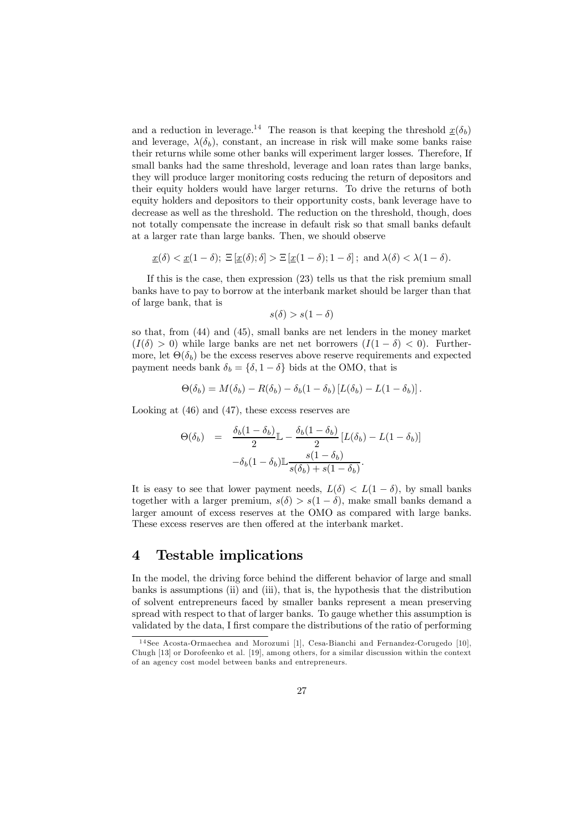and a reduction in leverage.<sup>14</sup> The reason is that keeping the threshold  $\underline{x}(\delta_b)$ and leverage,  $\lambda(\delta_b)$ , constant, an increase in risk will make some banks raise their returns while some other banks will experiment larger losses. Therefore, If small banks had the same threshold, leverage and loan rates than large banks, they will produce larger monitoring costs reducing the return of depositors and their equity holders would have larger returns. To drive the returns of both equity holders and depositors to their opportunity costs, bank leverage have to decrease as well as the threshold. The reduction on the threshold, though, does not totally compensate the increase in default risk so that small banks default at a larger rate than large banks. Then, we should observe

$$
\underline{x}(\delta) < \underline{x}(1-\delta); \ \Xi\left[\underline{x}(\delta); \delta\right] > \Xi\left[\underline{x}(1-\delta); 1-\delta\right]; \ \text{and} \ \lambda(\delta) < \lambda(1-\delta).
$$

If this is the case, then expression (23) tells us that the risk premium small banks have to pay to borrow at the interbank market should be larger than that of large bank, that is

$$
s(\delta) > s(1 - \delta)
$$

so that, from (44) and (45), small banks are net lenders in the money market  $(I(\delta) > 0)$  while large banks are net net borrowers  $(I(1 - \delta) < 0)$ . Furthermore, let  $\Theta(\delta_b)$  be the excess reserves above reserve requirements and expected payment needs bank  $\delta_b = {\delta, 1 - \delta}$  bids at the OMO, that is

$$
\Theta(\delta_b) = M(\delta_b) - R(\delta_b) - \delta_b(1 - \delta_b) [L(\delta_b) - L(1 - \delta_b)].
$$

Looking at (46) and (47), these excess reserves are

$$
\Theta(\delta_b) = \frac{\delta_b (1 - \delta_b)}{2} \mathbb{L} - \frac{\delta_b (1 - \delta_b)}{2} [L(\delta_b) - L(1 - \delta_b)] -\delta_b (1 - \delta_b) \mathbb{L} \frac{s(1 - \delta_b)}{s(\delta_b) + s(1 - \delta_b)}.
$$

It is easy to see that lower payment needs,  $L(\delta) < L(1-\delta)$ , by small banks together with a larger premium,  $s(\delta) > s(1 - \delta)$ , make small banks demand a larger amount of excess reserves at the OMO as compared with large banks. These excess reserves are then offered at the interbank market.

### 4 Testable implications

In the model, the driving force behind the different behavior of large and small banks is assumptions (ii) and (iii), that is, the hypothesis that the distribution of solvent entrepreneurs faced by smaller banks represent a mean preserving spread with respect to that of larger banks. To gauge whether this assumption is validated by the data, I first compare the distributions of the ratio of performing

<sup>&</sup>lt;sup>14</sup>See Acosta-Ormaechea and Morozumi [1], Cesa-Bianchi and Fernandez-Corugedo [10], Chugh [13] or Dorofeenko et al. [19], among others, for a similar discussion within the context of an agency cost model between banks and entrepreneurs.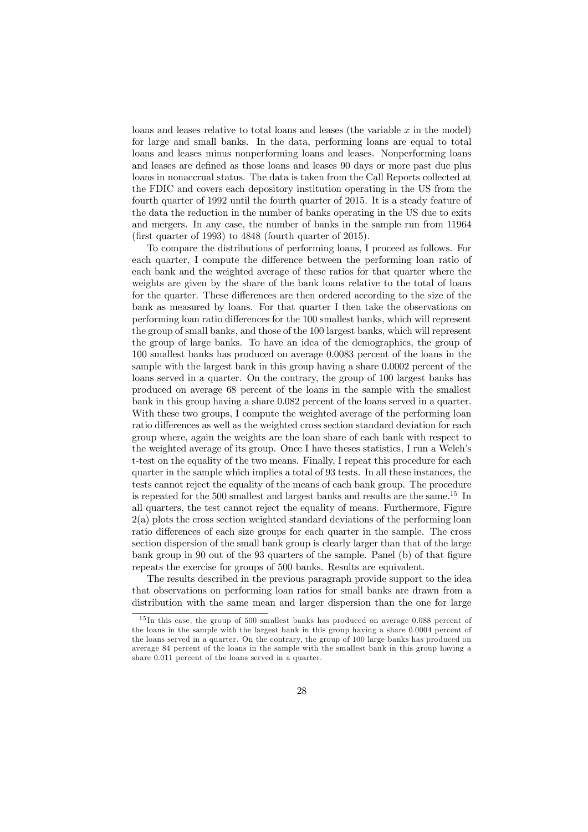loans and leases relative to total loans and leases (the variable  $x$  in the model) for large and small banks. In the data, performing loans are equal to total loans and leases minus nonperforming loans and leases. Nonperforming loans and leases are defined as those loans and leases 90 days or more past due plus loans in nonaccrual status. The data is taken from the Call Reports collected at the FDIC and covers each depository institution operating in the US from the fourth quarter of 1992 until the fourth quarter of 2015. It is a steady feature of the data the reduction in the number of banks operating in the US due to exits and mergers. In any case, the number of banks in the sample run from 11964 (first quarter of 1993) to  $4848$  (fourth quarter of 2015).

To compare the distributions of performing loans, I proceed as follows. For each quarter, I compute the difference between the performing loan ratio of each bank and the weighted average of these ratios for that quarter where the weights are given by the share of the bank loans relative to the total of loans for the quarter. These differences are then ordered according to the size of the bank as measured by loans. For that quarter I then take the observations on performing loan ratio differences for the 100 smallest banks, which will represent the group of small banks, and those of the 100 largest banks, which will represent the group of large banks. To have an idea of the demographics, the group of 100 smallest banks has produced on average 0.0083 percent of the loans in the sample with the largest bank in this group having a share 0.0002 percent of the loans served in a quarter. On the contrary, the group of 100 largest banks has produced on average 68 percent of the loans in the sample with the smallest bank in this group having a share 0.082 percent of the loans served in a quarter. With these two groups, I compute the weighted average of the performing loan ratio differences as well as the weighted cross section standard deviation for each group where, again the weights are the loan share of each bank with respect to the weighted average of its group. Once I have theses statistics, I run a Welch's t-test on the equality of the two means. Finally, I repeat this procedure for each quarter in the sample which implies a total of 93 tests. In all these instances, the tests cannot reject the equality of the means of each bank group. The procedure is repeated for the 500 smallest and largest banks and results are the same. <sup>15</sup> In all quarters, the test cannot reject the equality of means. Furthermore, Figure 2(a) plots the cross section weighted standard deviations of the performing loan ratio differences of each size groups for each quarter in the sample. The cross section dispersion of the small bank group is clearly larger than that of the large bank group in  $90$  out of the  $93$  quarters of the sample. Panel (b) of that figure repeats the exercise for groups of 500 banks. Results are equivalent.

The results described in the previous paragraph provide support to the idea that observations on performing loan ratios for small banks are drawn from a distribution with the same mean and larger dispersion than the one for large

<sup>&</sup>lt;sup>15</sup>In this case, the group of 500 smallest banks has produced on average 0.088 percent of the loans in the sample with the largest bank in this group having a share 0.0004 percent of the loans served in a quarter. On the contrary, the group of 100 large banks has produced on average 84 percent of the loans in the sample with the smallest bank in this group having a share 0.011 percent of the loans served in a quarter.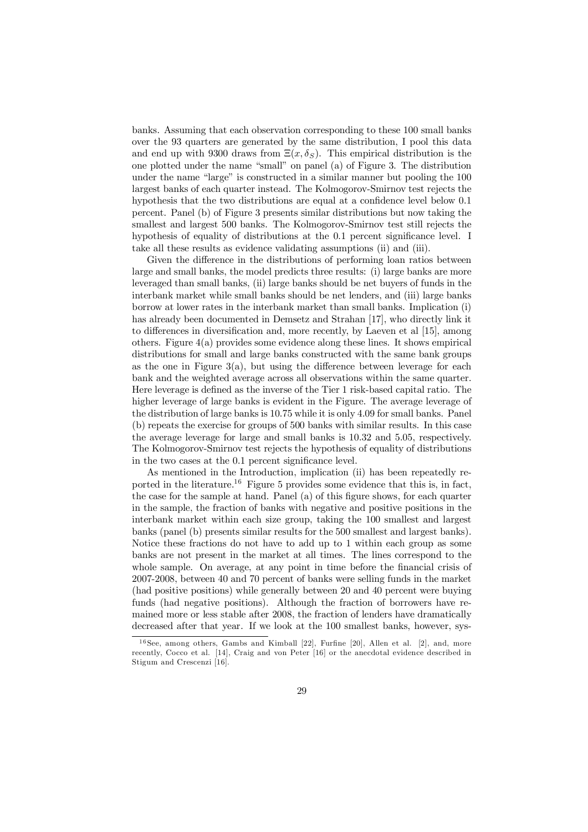banks. Assuming that each observation corresponding to these 100 small banks over the 93 quarters are generated by the same distribution, I pool this data and end up with 9300 draws from  $\Xi(x, \delta_S)$ . This empirical distribution is the one plotted under the name "small" on panel (a) of Figure 3. The distribution under the name "large" is constructed in a similar manner but pooling the 100 largest banks of each quarter instead. The Kolmogorov-Smirnov test rejects the hypothesis that the two distributions are equal at a confidence level below 0.1 percent. Panel (b) of Figure 3 presents similar distributions but now taking the smallest and largest 500 banks. The Kolmogorov-Smirnov test still rejects the hypothesis of equality of distributions at the  $0.1$  percent significance level. I take all these results as evidence validating assumptions (ii) and (iii).

Given the difference in the distributions of performing loan ratios between large and small banks, the model predicts three results: (i) large banks are more leveraged than small banks, (ii) large banks should be net buyers of funds in the interbank market while small banks should be net lenders, and (iii) large banks borrow at lower rates in the interbank market than small banks. Implication (i) has already been documented in Demsetz and Strahan [17], who directly link it to differences in diversification and, more recently, by Laeven et al [15], among others. Figure 4(a) provides some evidence along these lines. It shows empirical distributions for small and large banks constructed with the same bank groups as the one in Figure  $3(a)$ , but using the difference between leverage for each bank and the weighted average across all observations within the same quarter. Here leverage is defined as the inverse of the Tier 1 risk-based capital ratio. The higher leverage of large banks is evident in the Figure. The average leverage of the distribution of large banks is 10.75 while it is only 4.09 for small banks. Panel (b) repeats the exercise for groups of 500 banks with similar results. In this case the average leverage for large and small banks is 10.32 and 5.05, respectively. The Kolmogorov-Smirnov test rejects the hypothesis of equality of distributions in the two cases at the 0.1 percent significance level.

As mentioned in the Introduction, implication (ii) has been repeatedly reported in the literature.<sup>16</sup> Figure 5 provides some evidence that this is, in fact, the case for the sample at hand. Panel (a) of this figure shows, for each quarter in the sample, the fraction of banks with negative and positive positions in the interbank market within each size group, taking the 100 smallest and largest banks (panel (b) presents similar results for the 500 smallest and largest banks). Notice these fractions do not have to add up to 1 within each group as some banks are not present in the market at all times. The lines correspond to the whole sample. On average, at any point in time before the financial crisis of 2007-2008, between 40 and 70 percent of banks were selling funds in the market (had positive positions) while generally between 20 and 40 percent were buying funds (had negative positions). Although the fraction of borrowers have remained more or less stable after 2008, the fraction of lenders have dramatically decreased after that year. If we look at the 100 smallest banks, however, sys-

 $16$ See, among others, Gambs and Kimball [22], Furfine [20], Allen et al. [2], and, more recently, Cocco et al. [14], Craig and von Peter [16] or the anecdotal evidence described in Stigum and Crescenzi [16].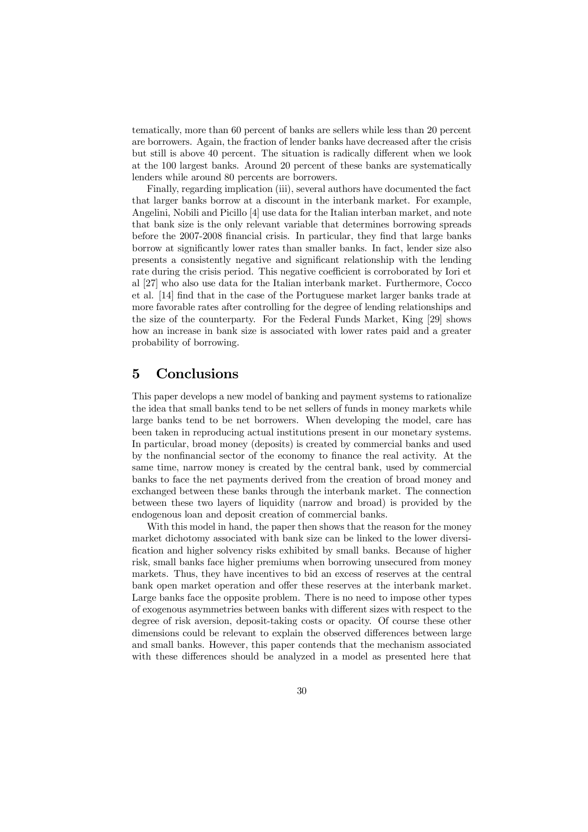tematically, more than 60 percent of banks are sellers while less than 20 percent are borrowers. Again, the fraction of lender banks have decreased after the crisis but still is above 40 percent. The situation is radically different when we look at the 100 largest banks. Around 20 percent of these banks are systematically lenders while around 80 percents are borrowers.

Finally, regarding implication (iii), several authors have documented the fact that larger banks borrow at a discount in the interbank market. For example, Angelini, Nobili and Picillo [4] use data for the Italian interban market, and note that bank size is the only relevant variable that determines borrowing spreads before the  $2007-2008$  financial crisis. In particular, they find that large banks borrow at significantly lower rates than smaller banks. In fact, lender size also presents a consistently negative and significant relationship with the lending rate during the crisis period. This negative coefficient is corroborated by Iori et al [27] who also use data for the Italian interbank market. Furthermore, Cocco et al. [14] find that in the case of the Portuguese market larger banks trade at more favorable rates after controlling for the degree of lending relationships and the size of the counterparty. For the Federal Funds Market, King [29] shows how an increase in bank size is associated with lower rates paid and a greater probability of borrowing.

## 5 Conclusions

This paper develops a new model of banking and payment systems to rationalize the idea that small banks tend to be net sellers of funds in money markets while large banks tend to be net borrowers. When developing the model, care has been taken in reproducing actual institutions present in our monetary systems. In particular, broad money (deposits) is created by commercial banks and used by the nonfinancial sector of the economy to finance the real activity. At the same time, narrow money is created by the central bank, used by commercial banks to face the net payments derived from the creation of broad money and exchanged between these banks through the interbank market. The connection between these two layers of liquidity (narrow and broad) is provided by the endogenous loan and deposit creation of commercial banks.

With this model in hand, the paper then shows that the reason for the money market dichotomy associated with bank size can be linked to the lower diversi fication and higher solvency risks exhibited by small banks. Because of higher risk, small banks face higher premiums when borrowing unsecured from money markets. Thus, they have incentives to bid an excess of reserves at the central bank open market operation and offer these reserves at the interbank market. Large banks face the opposite problem. There is no need to impose other types of exogenous asymmetries between banks with different sizes with respect to the degree of risk aversion, deposit-taking costs or opacity. Of course these other dimensions could be relevant to explain the observed differences between large and small banks. However, this paper contends that the mechanism associated with these differences should be analyzed in a model as presented here that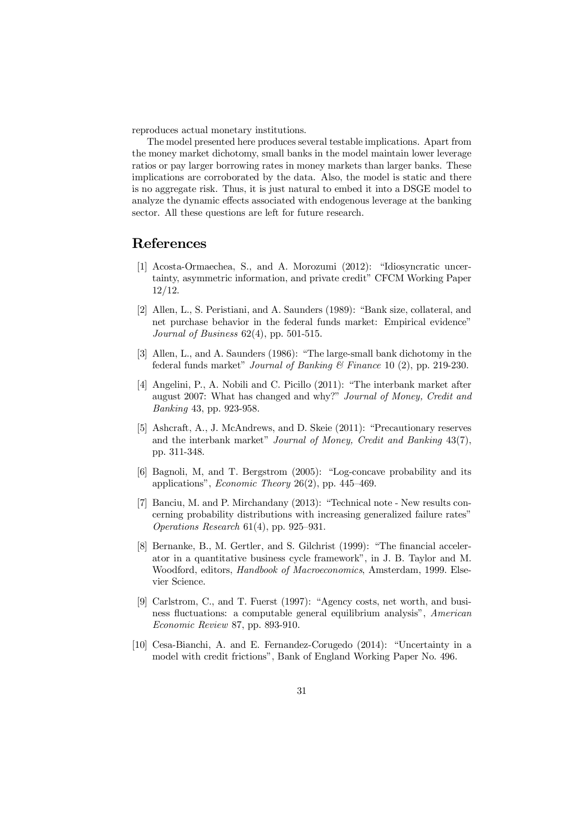reproduces actual monetary institutions.

The model presented here produces several testable implications. Apart from the money market dichotomy, small banks in the model maintain lower leverage ratios or pay larger borrowing rates in money markets than larger banks. These implications are corroborated by the data. Also, the model is static and there is no aggregate risk. Thus, it is just natural to embed it into a DSGE model to analyze the dynamic effects associated with endogenous leverage at the banking sector. All these questions are left for future research.

### References

- [1] Acosta-Ormaechea, S., and A. Morozumi (2012): "Idiosyncratic uncertainty, asymmetric information, and private credit" CFCM Working Paper 12/12.
- [2] Allen, L., S. Peristiani, and A. Saunders (1989): "Bank size, collateral, and net purchase behavior in the federal funds market: Empirical evidence" *Journal of Business* 62(4), pp. 501-515.
- [3] Allen, L., and A. Saunders (1986): "The large-small bank dichotomy in the federal funds market" *Journal of Banking & Finance* 10 (2), pp. 219-230.
- [4] Angelini, P., A. Nobili and C. Picillo (2011): "The interbank market after august 2007: What has changed and why?" *Journal of Money, Credit and Banking* 43, pp. 923-958.
- [5] Ashcraft, A., J. McAndrews, and D. Skeie (2011): "Precautionary reserves and the interbank market" *Journal of Money, Credit and Banking* 43(7), pp. 311-348.
- [6] Bagnoli, M, and T. Bergstrom (2005): "Log-concave probability and its applications", *Economic Theory* 26(2), pp. 445–469.
- [7] Banciu, M. and P. Mirchandany (2013): "Technical note New results concerning probability distributions with increasing generalized failure rates" *Operations Research* 61(4), pp. 925–931.
- [8] Bernanke, B., M. Gertler, and S. Gilchrist (1999): "The financial accelerator in a quantitative business cycle framework", in J. B. Taylor and M. Woodford, editors, *Handbook of Macroeconomics*, Amsterdam, 1999. Elsevier Science.
- [9] Carlstrom, C., and T. Fuerst (1997): "Agency costs, net worth, and business ‡uctuations: a computable general equilibrium analysis", *American Economic Review* 87, pp. 893-910.
- [10] Cesa-Bianchi, A. and E. Fernandez-Corugedo (2014): "Uncertainty in a model with credit frictions", Bank of England Working Paper No. 496.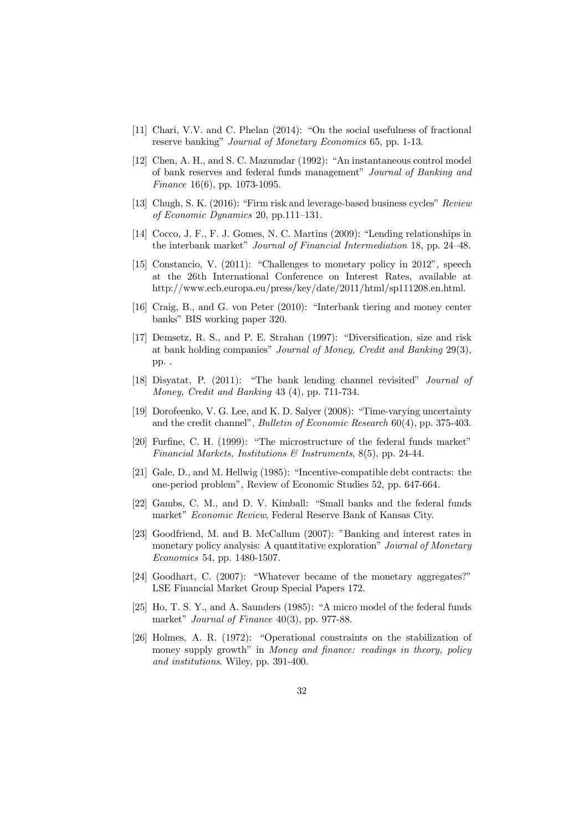- [11] Chari, V.V. and C. Phelan (2014): "On the social usefulness of fractional reserve banking" *Journal of Monetary Economics* 65, pp. 1-13.
- [12] Chen, A. H., and S. C. Mazumdar (1992): "An instantaneous control model of bank reserves and federal funds management" *Journal of Banking and Finance* 16(6), pp. 1073-1095.
- [13] Chugh, S. K. (2016): "Firm risk and leverage-based business cycles" *Review of Economic Dynamics* 20, pp.111–131.
- [14] Cocco, J. F., F. J. Gomes, N. C. Martins (2009): "Lending relationships in the interbank market" *Journal of Financial Intermediation* 18, pp. 24–48.
- [15] Constancio, V. (2011): "Challenges to monetary policy in 2012", speech at the 26th International Conference on Interest Rates, available at http://www.ecb.europa.eu/press/key/date/2011/html/sp111208.en.html.
- [16] Craig, B., and G. von Peter (2010): "Interbank tiering and money center banks" BIS working paper 320.
- $[17]$  Demsetz, R. S., and P. E. Strahan  $(1997)$ : "Diversification, size and risk at bank holding companies" *Journal of Money, Credit and Banking* 29(3), pp. .
- [18] Disyatat, P. (2011): "The bank lending channel revisited" *Journal of Money, Credit and Banking* 43 (4), pp. 711-734.
- [19] Dorofeenko, V. G. Lee, and K. D. Salyer (2008): "Time-varying uncertainty and the credit channel", *Bulletin of Economic Research* 60(4), pp. 375-403.
- [20] Furfine, C. H. (1999): "The microstructure of the federal funds market" *Financial Markets, Institutions & Instruments*, 8(5), pp. 24-44.
- [21] Gale, D., and M. Hellwig (1985): "Incentive-compatible debt contracts: the one-period problem", Review of Economic Studies 52, pp. 647-664.
- [22] Gambs, C. M., and D. V. Kimball: "Small banks and the federal funds market" *Economic Review*, Federal Reserve Bank of Kansas City.
- [23] Goodfriend, M. and B. McCallum (2007): "Banking and interest rates in monetary policy analysis: A quantitative exploration" *Journal of Monetary Economics* 54, pp. 1480-1507.
- [24] Goodhart, C. (2007): "Whatever became of the monetary aggregates?" LSE Financial Market Group Special Papers 172.
- [25] Ho, T. S. Y., and A. Saunders (1985): "A micro model of the federal funds market" *Journal of Finance* 40(3), pp. 977-88.
- [26] Holmes, A. R. (1972): "Operational constraints on the stabilization of money supply growth" in *Money* and finance: readings in theory, policy *and institutions*. Wiley, pp. 391-400.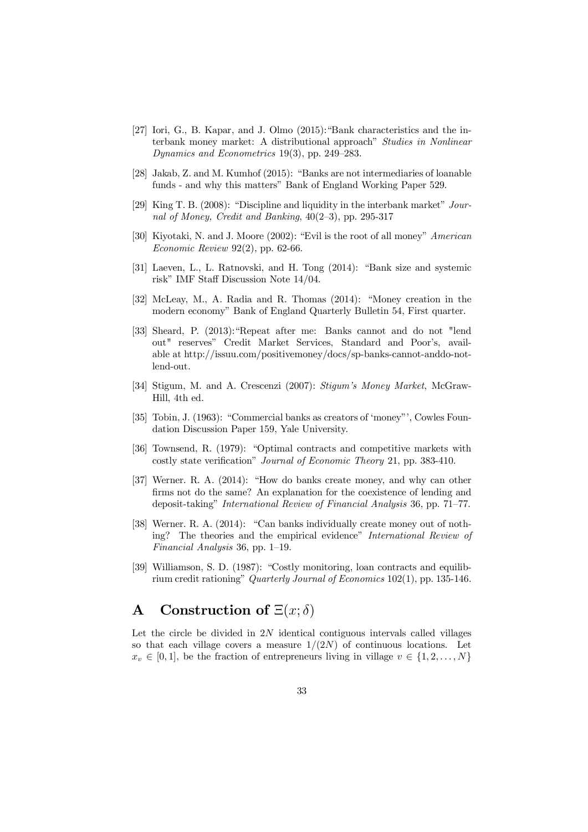- [27] Iori, G., B. Kapar, and J. Olmo (2015):"Bank characteristics and the interbank money market: A distributional approach" *Studies in Nonlinear Dynamics and Econometrics* 19(3), pp. 249–283.
- [28] Jakab, Z. and M. Kumhof (2015): "Banks are not intermediaries of loanable funds - and why this matters" Bank of England Working Paper 529.
- [29] King T. B. (2008): "Discipline and liquidity in the interbank market" *Journal of Money, Credit and Banking*, 40(2–3), pp. 295-317
- [30] Kiyotaki, N. and J. Moore (2002): "Evil is the root of all money" *American Economic Review* 92(2), pp. 62-66.
- [31] Laeven, L., L. Ratnovski, and H. Tong (2014): "Bank size and systemic risk" IMF Staff Discussion Note  $14/04$ .
- [32] McLeay, M., A. Radia and R. Thomas (2014): "Money creation in the modern economy" Bank of England Quarterly Bulletin 54, First quarter.
- [33] Sheard, P. (2013):"Repeat after me: Banks cannot and do not "lend out" reserves" Credit Market Services, Standard and Poor's, available at http://issuu.com/positivemoney/docs/sp-banks-cannot-anddo-notlend-out.
- [34] Stigum, M. and A. Crescenzi (2007): *Stigum*'*s Money Market*, McGraw-Hill, 4th ed.
- [35] Tobin, J. (1963): "Commercial banks as creators of 'money"', Cowles Foundation Discussion Paper 159, Yale University.
- [36] Townsend, R. (1979): "Optimal contracts and competitive markets with costly state verification" *Journal of Economic Theory* 21, pp. 383-410.
- [37] Werner. R. A. (2014): "How do banks create money, and why can other firms not do the same? An explanation for the coexistence of lending and deposit-taking" *International Review of Financial Analysis* 36, pp. 71–77.
- [38] Werner. R. A. (2014): "Can banks individually create money out of nothing? The theories and the empirical evidence" *International Review of Financial Analysis* 36, pp. 1–19.
- [39] Williamson, S. D. (1987): "Costly monitoring, loan contracts and equilibrium credit rationing" *Quarterly Journal of Economics* 102(1), pp. 135-146.

## A Construction of  $\Xi(x; \delta)$

Let the circle be divided in 2N identical contiguous intervals called villages so that each village covers a measure  $1/(2N)$  of continuous locations. Let  $x_v \in [0, 1],$  be the fraction of entrepreneurs living in village  $v \in \{1, 2, \ldots, N\}$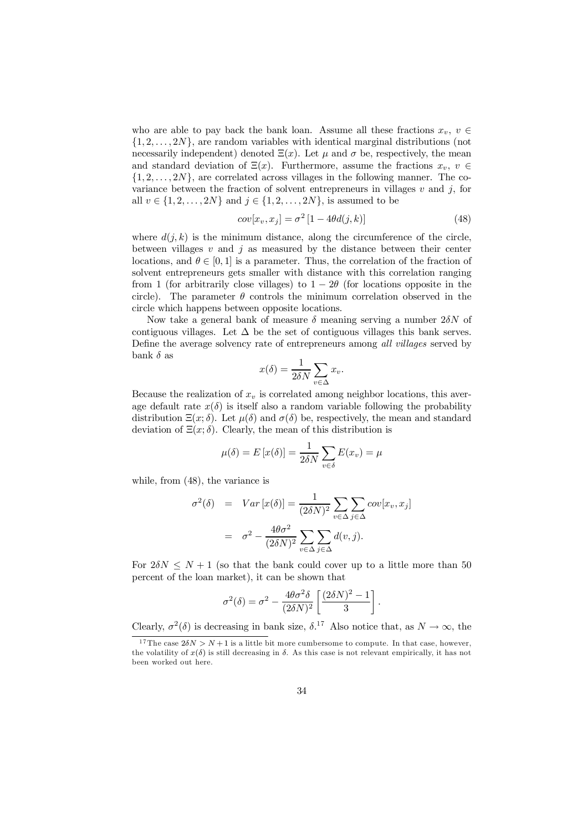who are able to pay back the bank loan. Assume all these fractions  $x_v, v \in$  $\{1, 2, \ldots, 2N\}$ , are random variables with identical marginal distributions (not necessarily independent) denoted  $\Xi(x)$ . Let  $\mu$  and  $\sigma$  be, respectively, the mean and standard deviation of  $\Xi(x)$ . Furthermore, assume the fractions  $x_v, v \in$  $\{1, 2, \ldots, 2N\}$ , are correlated across villages in the following manner. The covariance between the fraction of solvent entrepreneurs in villages  $v$  and  $j$ , for all  $v \in \{1, 2, ..., 2N\}$  and  $j \in \{1, 2, ..., 2N\}$ , is assumed to be

$$
cov[x_v, x_j] = \sigma^2 [1 - 4\theta d(j, k)] \tag{48}
$$

where  $d(j, k)$  is the minimum distance, along the circumference of the circle, between villages  $v$  and  $j$  as measured by the distance between their center locations, and  $\theta \in [0, 1]$  is a parameter. Thus, the correlation of the fraction of solvent entrepreneurs gets smaller with distance with this correlation ranging from 1 (for arbitrarily close villages) to  $1 - 2\theta$  (for locations opposite in the circle). The parameter  $\theta$  controls the minimum correlation observed in the circle which happens between opposite locations.

Now take a general bank of measure  $\delta$  meaning serving a number  $2\delta N$  of contiguous villages. Let  $\Delta$  be the set of contiguous villages this bank serves. Define the average solvency rate of entrepreneurs among *all villages* served by bank  $\delta$  as

$$
x(\delta) = \frac{1}{2\delta N} \sum_{v \in \Delta} x_v.
$$

Because the realization of  $x_v$  is correlated among neighbor locations, this average default rate  $x(\delta)$  is itself also a random variable following the probability distribution  $\Xi(x;\delta)$ . Let  $\mu(\delta)$  and  $\sigma(\delta)$  be, respectively, the mean and standard deviation of  $\Xi(x; \delta)$ . Clearly, the mean of this distribution is

$$
\mu(\delta) = E[x(\delta)] = \frac{1}{2\delta N} \sum_{v \in \delta} E(x_v) = \mu
$$

while, from (48), the variance is

$$
\sigma^2(\delta) = Var[x(\delta)] = \frac{1}{(2\delta N)^2} \sum_{v \in \Delta} \sum_{j \in \Delta} cov[x_v, x_j]
$$

$$
= \sigma^2 - \frac{4\theta \sigma^2}{(2\delta N)^2} \sum_{v \in \Delta} \sum_{j \in \Delta} d(v, j).
$$

For  $2\delta N \leq N+1$  (so that the bank could cover up to a little more than 50 percent of the loan market), it can be shown that

$$
\sigma^2(\delta) = \sigma^2 - \frac{4\theta\sigma^2\delta}{(2\delta N)^2} \left[ \frac{(2\delta N)^2 - 1}{3} \right].
$$

Clearly,  $\sigma^2(\delta)$  is decreasing in bank size,  $\delta$ <sup>17</sup> Also notice that, as  $N \to \infty$ , the

<sup>&</sup>lt;sup>17</sup>The case  $2\delta N > N+1$  is a little bit more cumbersome to compute. In that case, however, the volatility of  $x(\delta)$  is still decreasing in  $\delta$ . As this case is not relevant empirically, it has not been worked out here.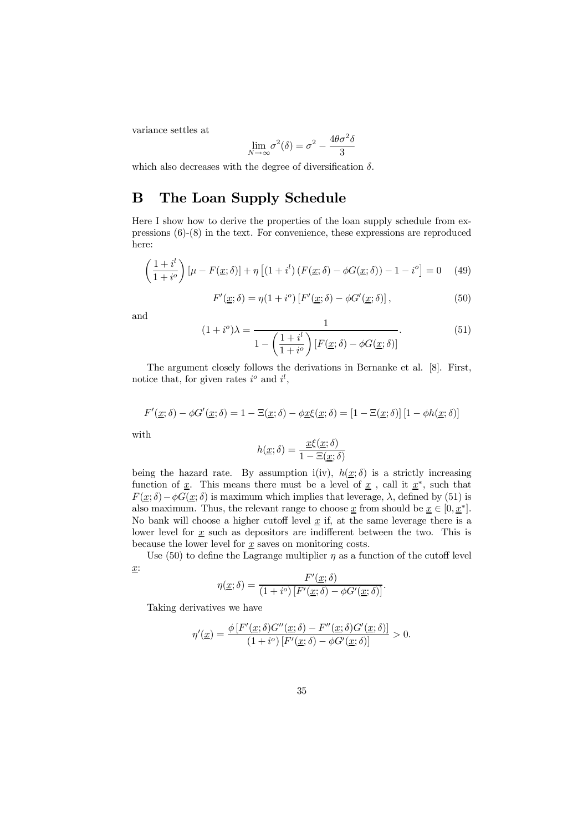variance settles at

$$
\lim_{N \to \infty} \sigma^2(\delta) = \sigma^2 - \frac{4\theta\sigma^2\delta}{3}
$$

which also decreases with the degree of diversification  $\delta$ .

## B The Loan Supply Schedule

Here I show how to derive the properties of the loan supply schedule from expressions (6)-(8) in the text. For convenience, these expressions are reproduced here:

$$
\left(\frac{1+i^{l}}{1+i^{o}}\right)\left[\mu - F(\underline{x};\delta)\right] + \eta \left[\left(1+i^{l}\right)\left(F(\underline{x};\delta) - \phi G(\underline{x};\delta)\right) - 1 - i^{o}\right] = 0 \quad (49)
$$

$$
F'(\underline{x}; \delta) = \eta(1 + i^o) \left[ F'(\underline{x}; \delta) - \phi G'(\underline{x}; \delta) \right], \tag{50}
$$

and

$$
(1+i^o)\lambda = \frac{1}{1 - \left(\frac{1+i^l}{1+i^o}\right)[F(\underline{x};\delta) - \phi G(\underline{x};\delta)]}.
$$
\n(51)

The argument closely follows the derivations in Bernanke et al. [8]. First, notice that, for given rates  $i^o$  and  $i^l$ ,

$$
F'(\underline{x}; \delta) - \phi G'(\underline{x}; \delta) = 1 - \Xi(\underline{x}; \delta) - \phi \underline{x} \xi(\underline{x}; \delta) = [1 - \Xi(\underline{x}; \delta)][1 - \phi h(\underline{x}; \delta)]
$$
  
with  

$$
h(\underline{x}; \delta) = \frac{\underline{x} \xi(\underline{x}; \delta)}{1 - \Xi(\underline{x}; \delta)}
$$

being the hazard rate. By assumption i(iv),  $h(\underline{x}; \delta)$  is a strictly increasing function of  $\underline{x}$ . This means there must be a level of  $\underline{x}$ , call it  $\underline{x}^*$ , such that  $F(\underline{x}; \delta) - \phi G(\underline{x}; \delta)$  is maximum which implies that leverage,  $\lambda$ , defined by (51) is also maximum. Thus, the relevant range to choose  $\underline{x}$  from should be  $\underline{x} \in [0, \underline{x}^*]$ . No bank will choose a higher cutoff level  $\underline{x}$  if, at the same leverage there is a lower level for  $\underline{x}$  such as depositors are indifferent between the two. This is because the lower level for  $\underline{x}$  saves on monitoring costs.

Use (50) to define the Lagrange multiplier  $\eta$  as a function of the cutoff level x:

$$
\eta(\underline{x};\delta) = \frac{F'(\underline{x};\delta)}{(1+i^o)[F'(\underline{x};\delta) - \phi G'(\underline{x};\delta)]}
$$

:

Taking derivatives we have

$$
\eta'(\underline{x}) = \frac{\phi\left[F'(\underline{x};\delta)G''(\underline{x};\delta) - F''(\underline{x};\delta)G'(\underline{x};\delta)\right]}{(1+i^o)\left[F'(\underline{x};\delta) - \phi G'(\underline{x};\delta)\right]} > 0.
$$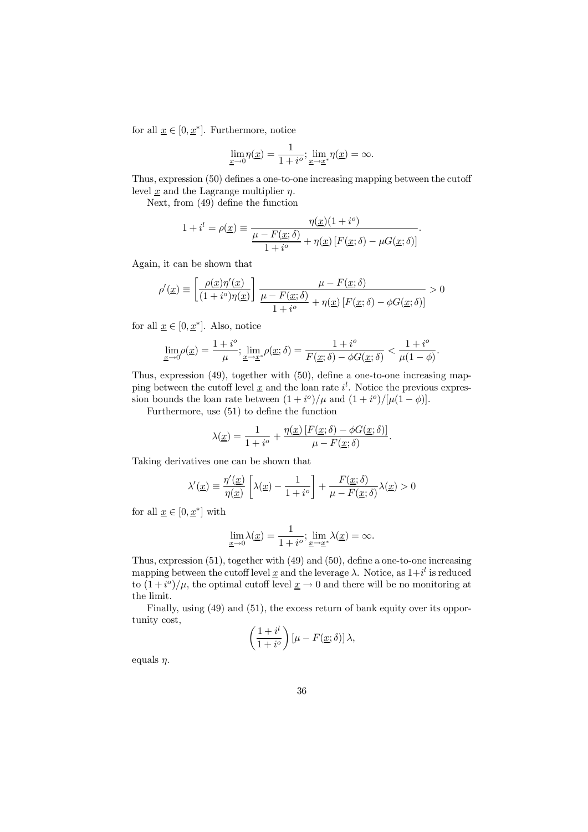for all  $\underline{x} \in [0, \underline{x}^*]$ . Furthermore, notice

$$
\lim_{\underline{x}\to 0} \eta(\underline{x}) = \frac{1}{1+i^o}; \lim_{\underline{x}\to \underline{x}^*} \eta(\underline{x}) = \infty.
$$

Thus, expression  $(50)$  defines a one-to-one increasing mapping between the cutoff level x and the Lagrange multiplier  $\eta$ .

Next, from  $(49)$  define the function

$$
1 + il = \rho(\underline{x}) \equiv \frac{\eta(\underline{x})(1 + i^o)}{\frac{\mu - F(\underline{x}; \delta)}{1 + i^o} + \eta(\underline{x}) \left[ F(\underline{x}; \delta) - \mu G(\underline{x}; \delta) \right]}.
$$

Again, it can be shown that

$$
\rho'(\underline{x}) \equiv \left[ \frac{\rho(\underline{x}) \eta'(\underline{x})}{(1 + i^o) \eta(\underline{x})} \right] \frac{\mu - F(\underline{x}; \delta)}{\frac{\mu - F(\underline{x}; \delta)}{1 + i^o} + \eta(\underline{x}) \left[ F(\underline{x}; \delta) - \phi G(\underline{x}; \delta) \right]} > 0
$$

for all  $\underline{x} \in [0, \underline{x}^*]$ . Also, notice

$$
\lim_{x\to 0} \rho(\underline{x}) = \frac{1+i^o}{\mu}; \lim_{x\to \underline{x}^*} \rho(\underline{x}; \delta) = \frac{1+i^o}{F(\underline{x}; \delta) - \phi G(\underline{x}; \delta)} < \frac{1+i^o}{\mu(1-\phi)}.
$$

Thus, expression  $(49)$ , together with  $(50)$ , define a one-to-one increasing mapping between the cutoff level  $\underline{x}$  and the loan rate  $i^l$ . Notice the previous expression bounds the loan rate between  $(1 + i^{\circ})/\mu$  and  $(1 + i^{\circ})/[\mu(1 - \phi)].$ 

Furthermore, use  $(51)$  to define the function

$$
\lambda(\underline{x}) = \frac{1}{1+i^o} + \frac{\eta(\underline{x})\left[F(\underline{x};\delta) - \phi G(\underline{x};\delta)\right]}{\mu - F(\underline{x};\delta)}.
$$

Taking derivatives one can be shown that

$$
\lambda'(\underline{x}) \equiv \frac{\eta'(\underline{x})}{\eta(\underline{x})} \left[ \lambda(\underline{x}) - \frac{1}{1 + i^o} \right] + \frac{F(\underline{x}; \delta)}{\mu - F(\underline{x}; \delta)} \lambda(\underline{x}) > 0
$$

for all  $\underline{x} \in [0, \underline{x}^*]$  with

$$
\lim_{\underline{x}\to 0} \lambda(\underline{x}) = \frac{1}{1+i^o}; \lim_{\underline{x}\to \underline{x}^*} \lambda(\underline{x}) = \infty.
$$

Thus, expression  $(51)$ , together with  $(49)$  and  $(50)$ , define a one-to-one increasing mapping between the cutoff level <u>x</u> and the leverage  $\lambda$ . Notice, as  $1+i^l$  is reduced to  $(1+i^o)/\mu$ , the optimal cutoff level  $\underline{x} \to 0$  and there will be no monitoring at the limit.

Finally, using  $(49)$  and  $(51)$ , the excess return of bank equity over its opportunity cost,

$$
\left(\frac{1+i^l}{1+i^o}\right)[\mu-F(\underline{x};\delta)]\,\lambda,
$$

equals  $\eta$ .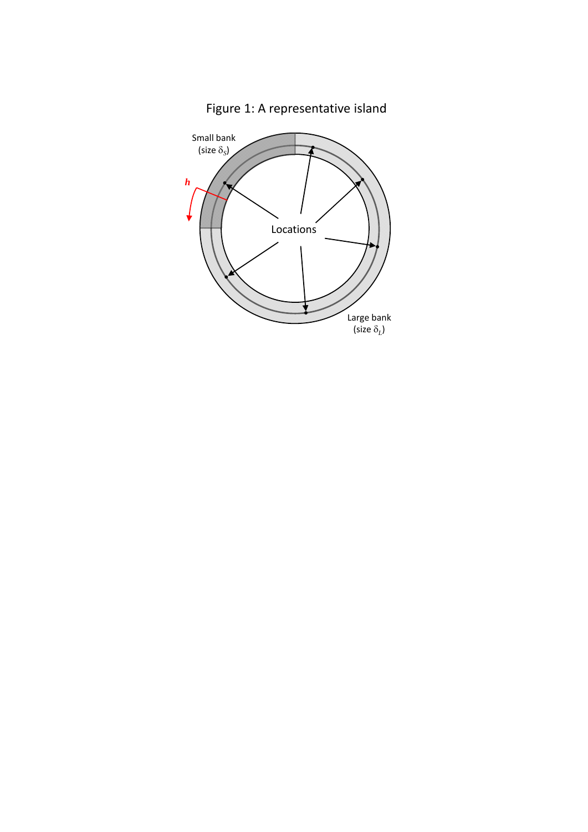

Figure 1: A representative island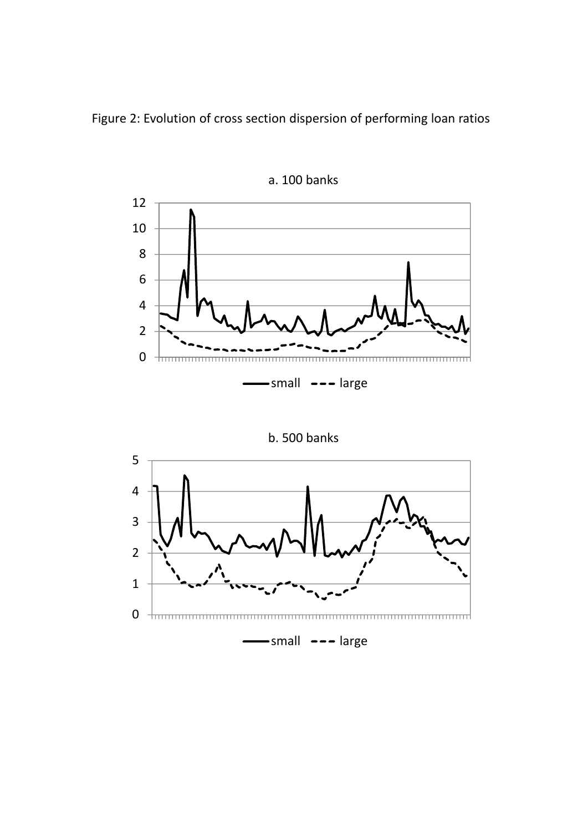Figure 2: Evolution of cross section dispersion of performing loan ratios



a. 100 banks

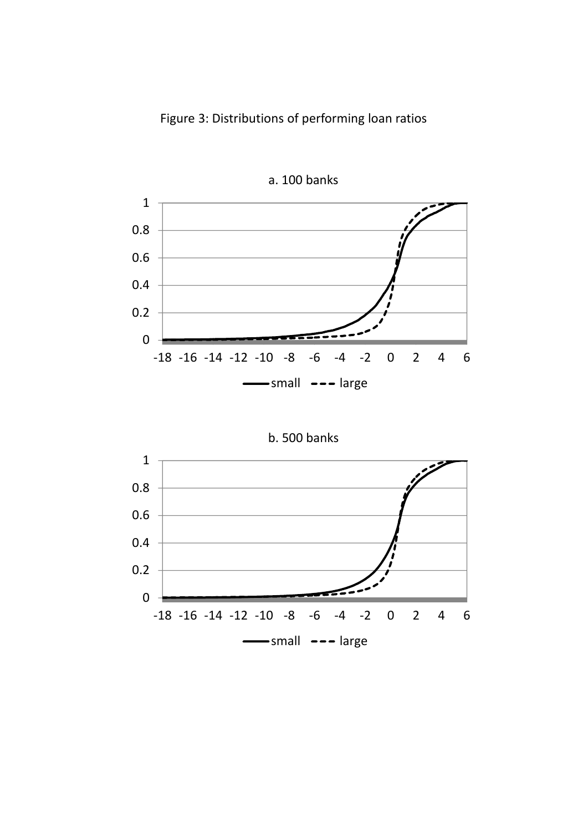

a. 100 banks



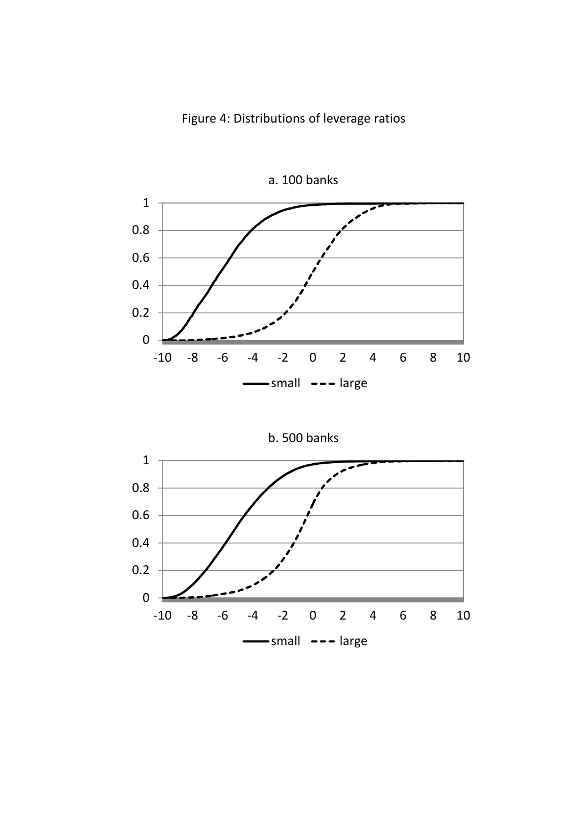



b. 500 banks